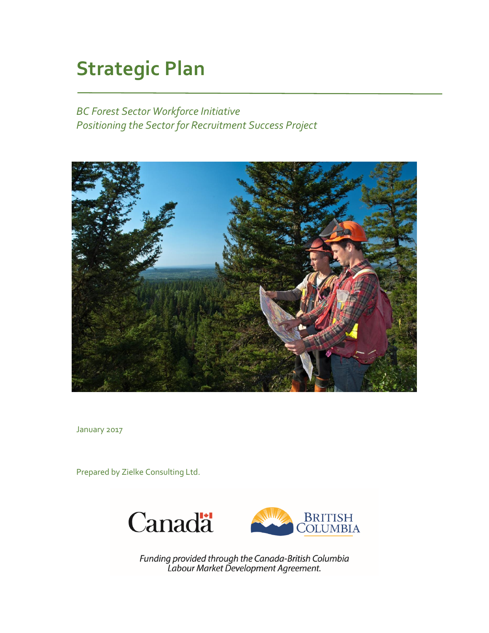# **Strategic Plan**

*BC Forest Sector Workforce Initiative Positioning the Sector for Recruitment Success Project* 



January 2017

Prepared by Zielke Consulting Ltd.



Funding provided through the Canada-British Columbia<br>Labour Market Development Agreement.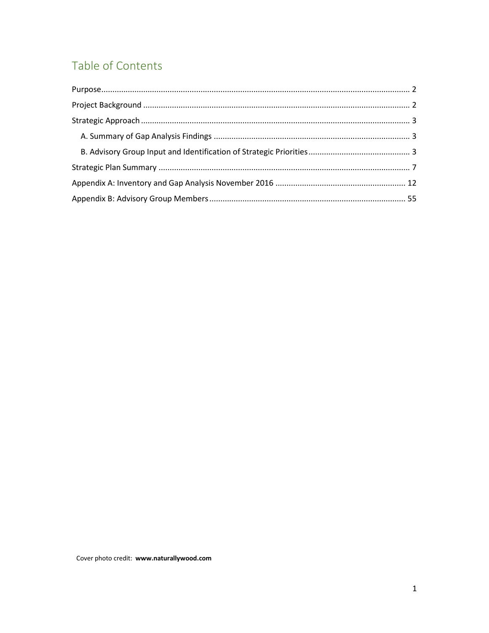## Table of Contents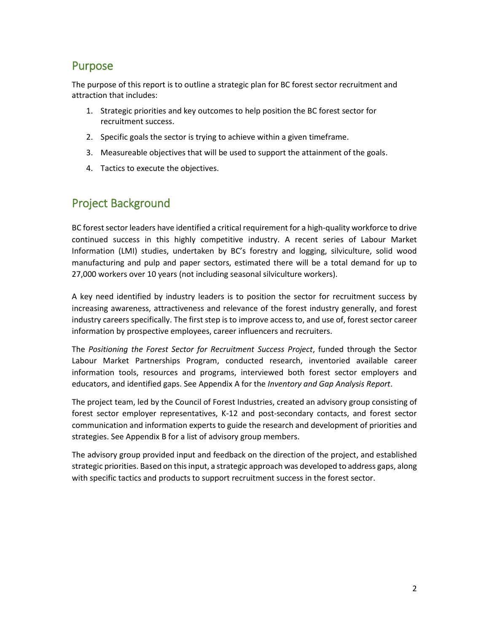### <span id="page-2-0"></span>Purpose

The purpose of this report is to outline a strategic plan for BC forest sector recruitment and attraction that includes:

- 1. Strategic priorities and key outcomes to help position the BC forest sector for recruitment success.
- 2. Specific goals the sector is trying to achieve within a given timeframe.
- 3. Measureable objectives that will be used to support the attainment of the goals.
- 4. Tactics to execute the objectives.

### <span id="page-2-1"></span>Project Background

BC forest sector leaders have identified a critical requirement for a high-quality workforce to drive continued success in this highly competitive industry. A recent series of Labour Market Information (LMI) studies, undertaken by BC's forestry and logging, silviculture, solid wood manufacturing and pulp and paper sectors, estimated there will be a total demand for up to 27,000 workers over 10 years (not including seasonal silviculture workers).

A key need identified by industry leaders is to position the sector for recruitment success by increasing awareness, attractiveness and relevance of the forest industry generally, and forest industry careers specifically. The first step is to improve access to, and use of, forest sector career information by prospective employees, career influencers and recruiters.

The *Positioning the Forest Sector for Recruitment Success Project*, funded through the Sector Labour Market Partnerships Program, conducted research, inventoried available career information tools, resources and programs, interviewed both forest sector employers and educators, and identified gaps. See Appendix A for the *Inventory and Gap Analysis Report*.

The project team, led by the Council of Forest Industries, created an advisory group consisting of forest sector employer representatives, K-12 and post-secondary contacts, and forest sector communication and information experts to guide the research and development of priorities and strategies. See Appendix B for a list of advisory group members.

The advisory group provided input and feedback on the direction of the project, and established strategic priorities. Based on this input, a strategic approach was developed to address gaps, along with specific tactics and products to support recruitment success in the forest sector.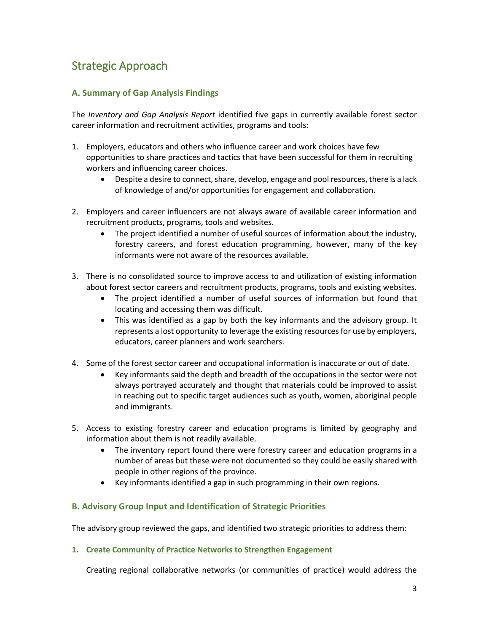### <span id="page-3-0"></span>Strategic Approach

#### <span id="page-3-1"></span>**A. Summary of Gap Analysis Findings**

The *Inventory and Gap Analysis Report* identified five gaps in currently available forest sector career information and recruitment activities, programs and tools:

- 1. Employers, educators and others who influence career and work choices have few opportunities to share practices and tactics that have been successful for them in recruiting workers and influencing career choices.
	- Despite a desire to connect, share, develop, engage and pool resources, there is a lack of knowledge of and/or opportunities for engagement and collaboration.
- 2. Employers and career influencers are not always aware of available career information and recruitment products, programs, tools and websites.
	- The project identified a number of useful sources of information about the industry, forestry careers, and forest education programming, however, many of the key informants were not aware of the resources available.
- 3. There is no consolidated source to improve access to and utilization of existing information about forest sector careers and recruitment products, programs, tools and existing websites.
	- The project identified a number of useful sources of information but found that locating and accessing them was difficult.
	- This was identified as a gap by both the key informants and the advisory group. It represents a lost opportunity to leverage the existing resources for use by employers, educators, career planners and work searchers.
- 4. Some of the forest sector career and occupational information is inaccurate or out of date.
	- Key informants said the depth and breadth of the occupations in the sector were not always portrayed accurately and thought that materials could be improved to assist in reaching out to specific target audiences such as youth, women, aboriginal people and immigrants.
- 5. Access to existing forestry career and education programs is limited by geography and information about them is not readily available.
	- The inventory report found there were forestry career and education programs in a number of areas but these were not documented so they could be easily shared with people in other regions of the province.
	- Key informants identified a gap in such programming in their own regions.

#### <span id="page-3-2"></span>**B. Advisory Group Input and Identification of Strategic Priorities**

The advisory group reviewed the gaps, and identified two strategic priorities to address them:

**1. Create Community of Practice Networks to Strengthen Engagement** 

Creating regional collaborative networks (or communities of practice) would address the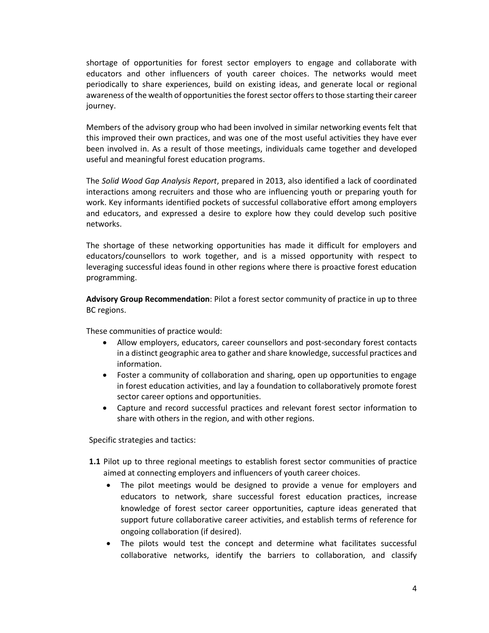shortage of opportunities for forest sector employers to engage and collaborate with educators and other influencers of youth career choices. The networks would meet periodically to share experiences, build on existing ideas, and generate local or regional awareness of the wealth of opportunities the forest sector offers to those starting their career journey.

Members of the advisory group who had been involved in similar networking events felt that this improved their own practices, and was one of the most useful activities they have ever been involved in. As a result of those meetings, individuals came together and developed useful and meaningful forest education programs.

The *Solid Wood Gap Analysis Report*, prepared in 2013, also identified a lack of coordinated interactions among recruiters and those who are influencing youth or preparing youth for work. Key informants identified pockets of successful collaborative effort among employers and educators, and expressed a desire to explore how they could develop such positive networks.

The shortage of these networking opportunities has made it difficult for employers and educators/counsellors to work together, and is a missed opportunity with respect to leveraging successful ideas found in other regions where there is proactive forest education programming.

**Advisory Group Recommendation**: Pilot a forest sector community of practice in up to three BC regions.

These communities of practice would:

- Allow employers, educators, career counsellors and post-secondary forest contacts in a distinct geographic area to gather and share knowledge, successful practices and information.
- Foster a community of collaboration and sharing, open up opportunities to engage in forest education activities, and lay a foundation to collaboratively promote forest sector career options and opportunities.
- Capture and record successful practices and relevant forest sector information to share with others in the region, and with other regions.

Specific strategies and tactics:

- **1.1** Pilot up to three regional meetings to establish forest sector communities of practice aimed at connecting employers and influencers of youth career choices.
	- The pilot meetings would be designed to provide a venue for employers and educators to network, share successful forest education practices, increase knowledge of forest sector career opportunities, capture ideas generated that support future collaborative career activities, and establish terms of reference for ongoing collaboration (if desired).
	- The pilots would test the concept and determine what facilitates successful collaborative networks, identify the barriers to collaboration, and classify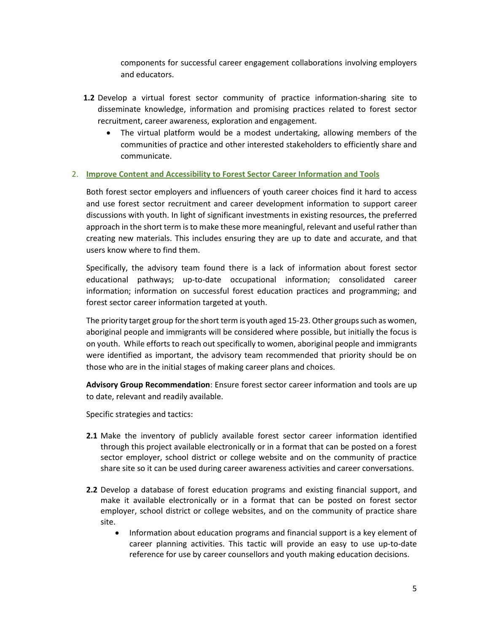components for successful career engagement collaborations involving employers and educators.

- **1.2** Develop a virtual forest sector community of practice information-sharing site to disseminate knowledge, information and promising practices related to forest sector recruitment, career awareness, exploration and engagement.
	- The virtual platform would be a modest undertaking, allowing members of the communities of practice and other interested stakeholders to efficiently share and communicate.

#### 2. **Improve Content and Accessibility to Forest Sector Career Information and Tools**

Both forest sector employers and influencers of youth career choices find it hard to access and use forest sector recruitment and career development information to support career discussions with youth. In light of significant investments in existing resources, the preferred approach in the short term is to make these more meaningful, relevant and useful rather than creating new materials. This includes ensuring they are up to date and accurate, and that users know where to find them.

Specifically, the advisory team found there is a lack of information about forest sector educational pathways; up-to-date occupational information; consolidated career information; information on successful forest education practices and programming; and forest sector career information targeted at youth.

The priority target group for the short term is youth aged 15-23. Other groups such as women, aboriginal people and immigrants will be considered where possible, but initially the focus is on youth. While efforts to reach out specifically to women, aboriginal people and immigrants were identified as important, the advisory team recommended that priority should be on those who are in the initial stages of making career plans and choices.

**Advisory Group Recommendation**: Ensure forest sector career information and tools are up to date, relevant and readily available.

Specific strategies and tactics:

- **2.1** Make the inventory of publicly available forest sector career information identified through this project available electronically or in a format that can be posted on a forest sector employer, school district or college website and on the community of practice share site so it can be used during career awareness activities and career conversations.
- **2.2** Develop a database of forest education programs and existing financial support, and make it available electronically or in a format that can be posted on forest sector employer, school district or college websites, and on the community of practice share site.
	- Information about education programs and financial support is a key element of career planning activities. This tactic will provide an easy to use up-to-date reference for use by career counsellors and youth making education decisions.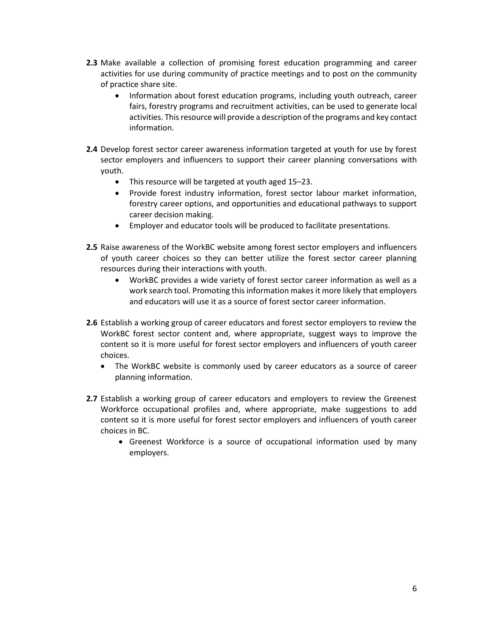- **2.3** Make available a collection of promising forest education programming and career activities for use during community of practice meetings and to post on the community of practice share site.
	- Information about forest education programs, including youth outreach, career fairs, forestry programs and recruitment activities, can be used to generate local activities. This resource will provide a description of the programs and key contact information.
- **2.4** Develop forest sector career awareness information targeted at youth for use by forest sector employers and influencers to support their career planning conversations with youth.
	- This resource will be targeted at youth aged 15–23.
	- Provide forest industry information, forest sector labour market information, forestry career options, and opportunities and educational pathways to support career decision making.
	- Employer and educator tools will be produced to facilitate presentations.
- **2.5** Raise awareness of the WorkBC website among forest sector employers and influencers of youth career choices so they can better utilize the forest sector career planning resources during their interactions with youth.
	- WorkBC provides a wide variety of forest sector career information as well as a work search tool. Promoting this information makes it more likely that employers and educators will use it as a source of forest sector career information.
- **2.6** Establish a working group of career educators and forest sector employers to review the WorkBC forest sector content and, where appropriate, suggest ways to improve the content so it is more useful for forest sector employers and influencers of youth career choices.
	- The WorkBC website is commonly used by career educators as a source of career planning information.
- **2.7** Establish a working group of career educators and employers to review the Greenest Workforce occupational profiles and, where appropriate, make suggestions to add content so it is more useful for forest sector employers and influencers of youth career choices in BC.
	- Greenest Workforce is a source of occupational information used by many employers.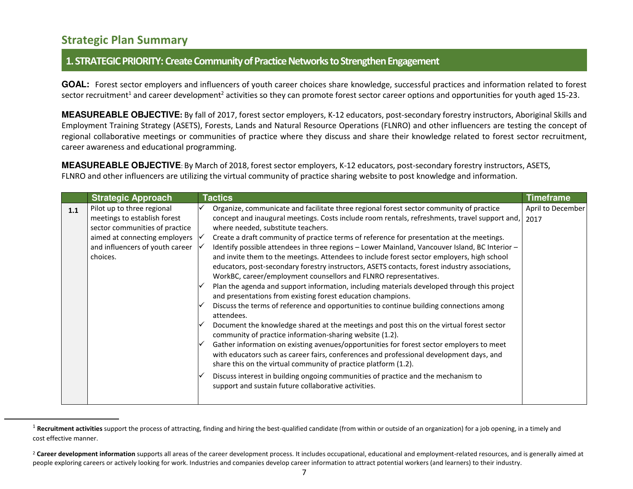### **Strategic Plan Summary**

l

#### **1. STRATEGIC PRIORITY: Create Community of Practice Networks to Strengthen Engagement**

GOAL: Forest sector employers and influencers of youth career choices share knowledge, successful practices and information related to forest sector recruitment<sup>1</sup> and career development<sup>2</sup> activities so they can promote forest sector career options and opportunities for youth aged 15-23.

**MEASUREABLE OBJECTIVE:** By fall of 2017, forest sector employers, K-12 educators, post-secondary forestry instructors, Aboriginal Skills and Employment Training Strategy (ASETS), Forests, Lands and Natural Resource Operations (FLNRO) and other influencers are testing the concept of regional collaborative meetings or communities of practice where they discuss and share their knowledge related to forest sector recruitment, career awareness and educational programming.

**MEASUREABLE OBJECTIVE**: By March of 2018, forest sector employers, K-12 educators, post-secondary forestry instructors, ASETS, FLNRO and other influencers are utilizing the virtual community of practice sharing website to post knowledge and information.

<span id="page-7-0"></span>

|     | <b>Strategic Approach</b>       | <b>Tactics</b>                                                                                                                                                                                                                                         | <b>Timeframe</b>  |
|-----|---------------------------------|--------------------------------------------------------------------------------------------------------------------------------------------------------------------------------------------------------------------------------------------------------|-------------------|
| 1.1 | Pilot up to three regional      | Organize, communicate and facilitate three regional forest sector community of practice                                                                                                                                                                | April to December |
|     | meetings to establish forest    | concept and inaugural meetings. Costs include room rentals, refreshments, travel support and,                                                                                                                                                          | 2017              |
|     | sector communities of practice  | where needed, substitute teachers.                                                                                                                                                                                                                     |                   |
|     | aimed at connecting employers   | Create a draft community of practice terms of reference for presentation at the meetings.                                                                                                                                                              |                   |
|     | and influencers of youth career | Identify possible attendees in three regions - Lower Mainland, Vancouver Island, BC Interior -                                                                                                                                                         |                   |
|     | choices.                        | and invite them to the meetings. Attendees to include forest sector employers, high school                                                                                                                                                             |                   |
|     |                                 | educators, post-secondary forestry instructors, ASETS contacts, forest industry associations,                                                                                                                                                          |                   |
|     |                                 | WorkBC, career/employment counsellors and FLNRO representatives.                                                                                                                                                                                       |                   |
|     |                                 | Plan the agenda and support information, including materials developed through this project                                                                                                                                                            |                   |
|     |                                 | and presentations from existing forest education champions.                                                                                                                                                                                            |                   |
|     |                                 | Discuss the terms of reference and opportunities to continue building connections among<br>attendees.                                                                                                                                                  |                   |
|     |                                 | Document the knowledge shared at the meetings and post this on the virtual forest sector<br>community of practice information-sharing website (1.2).                                                                                                   |                   |
|     |                                 | Gather information on existing avenues/opportunities for forest sector employers to meet<br>with educators such as career fairs, conferences and professional development days, and<br>share this on the virtual community of practice platform (1.2). |                   |
|     |                                 | Discuss interest in building ongoing communities of practice and the mechanism to<br>support and sustain future collaborative activities.                                                                                                              |                   |

<sup>&</sup>lt;sup>1</sup> Recruitment activities support th[e process o](http://www.businessdictionary.com/definition/process.html)f attracting, finding and hiring the best-qualifie[d candidate \(](http://www.businessdictionary.com/definition/candidate.html)from within or outside of an organization) for a job opening, in a timely and [cost](http://www.businessdictionary.com/definition/cost.html) [effective](http://www.businessdictionary.com/definition/effective.html) manner.

<sup>&</sup>lt;sup>2</sup> Career development information supports all areas of the career development process. It includes occupational, educational and employment-related resources, and is generally aimed at people exploring careers or actively looking for work. Industries and companies develop career information to attract potential workers (and learners) to their industry.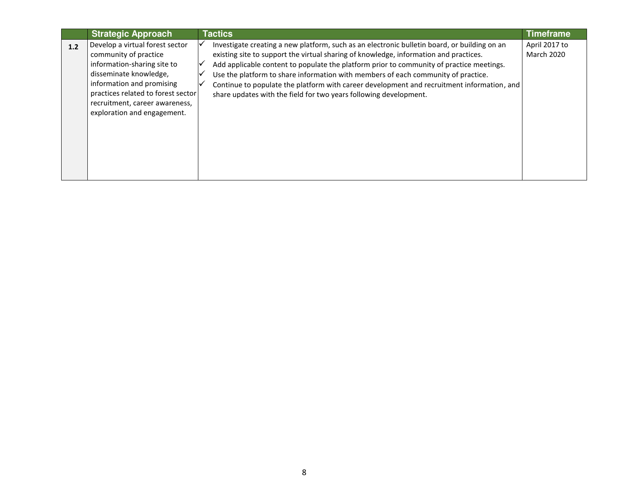|     | <b>Strategic Approach</b>          | <b>Tactics</b>                                                                               | <b>Timeframe</b>  |
|-----|------------------------------------|----------------------------------------------------------------------------------------------|-------------------|
| 1.2 | Develop a virtual forest sector    | Investigate creating a new platform, such as an electronic bulletin board, or building on an | April 2017 to     |
|     | community of practice              | existing site to support the virtual sharing of knowledge, information and practices.        | <b>March 2020</b> |
|     | information-sharing site to        | Add applicable content to populate the platform prior to community of practice meetings.     |                   |
|     | disseminate knowledge,             | Use the platform to share information with members of each community of practice.            |                   |
|     | information and promising          | Continue to populate the platform with career development and recruitment information, and   |                   |
|     | practices related to forest sector | share updates with the field for two years following development.                            |                   |
|     | recruitment, career awareness,     |                                                                                              |                   |
|     | exploration and engagement.        |                                                                                              |                   |
|     |                                    |                                                                                              |                   |
|     |                                    |                                                                                              |                   |
|     |                                    |                                                                                              |                   |
|     |                                    |                                                                                              |                   |
|     |                                    |                                                                                              |                   |
|     |                                    |                                                                                              |                   |
|     |                                    |                                                                                              |                   |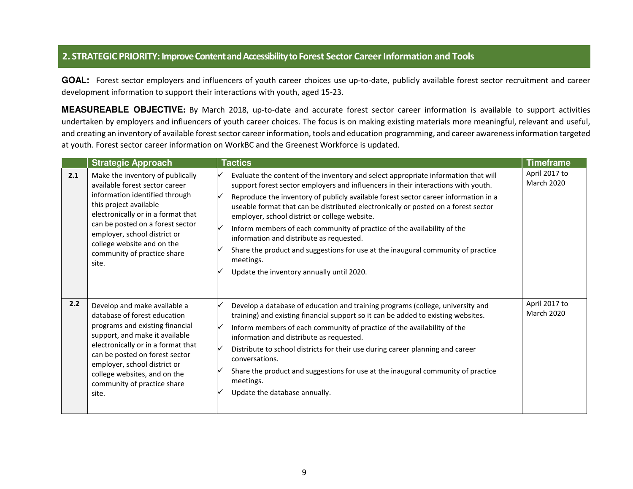#### **2. STRATEGIC PRIORITY: Improve Content and Accessibility to Forest Sector Career Information and Tools**

GOAL: Forest sector employers and influencers of youth career choices use up-to-date, publicly available forest sector recruitment and career development information to support their interactions with youth, aged 15-23.

**MEASUREABLE OBJECTIVE:** By March 2018, up-to-date and accurate forest sector career information is available to support activities undertaken by employers and influencers of youth career choices. The focus is on making existing materials more meaningful, relevant and useful, and creating an inventory of available forest sector career information, tools and education programming, and career awareness information targeted at youth. Forest sector career information on WorkBC and the Greenest Workforce is updated.

|     | <b>Strategic Approach</b>                                                                                                                                                                                                                                                                                         | <b>Tactics</b>                                                                                                                                                                                                                                                                                                                                                                                                                                                                                                                                                                                                                                                             | <b>Timeframe</b>                   |
|-----|-------------------------------------------------------------------------------------------------------------------------------------------------------------------------------------------------------------------------------------------------------------------------------------------------------------------|----------------------------------------------------------------------------------------------------------------------------------------------------------------------------------------------------------------------------------------------------------------------------------------------------------------------------------------------------------------------------------------------------------------------------------------------------------------------------------------------------------------------------------------------------------------------------------------------------------------------------------------------------------------------------|------------------------------------|
| 2.1 | Make the inventory of publically<br>available forest sector career<br>information identified through<br>this project available<br>electronically or in a format that<br>can be posted on a forest sector<br>employer, school district or<br>college website and on the<br>community of practice share<br>site.    | Evaluate the content of the inventory and select appropriate information that will<br>support forest sector employers and influencers in their interactions with youth.<br>Reproduce the inventory of publicly available forest sector career information in a<br>useable format that can be distributed electronically or posted on a forest sector<br>employer, school district or college website.<br>Inform members of each community of practice of the availability of the<br>information and distribute as requested.<br>Share the product and suggestions for use at the inaugural community of practice<br>meetings.<br>Update the inventory annually until 2020. | April 2017 to<br><b>March 2020</b> |
| 2.2 | Develop and make available a<br>database of forest education<br>programs and existing financial<br>support, and make it available<br>electronically or in a format that<br>can be posted on forest sector<br>employer, school district or<br>college websites, and on the<br>community of practice share<br>site. | Develop a database of education and training programs (college, university and<br>M<br>training) and existing financial support so it can be added to existing websites.<br>Inform members of each community of practice of the availability of the<br>∨<br>information and distribute as requested.<br>Distribute to school districts for their use during career planning and career<br>₩<br>conversations.<br>Share the product and suggestions for use at the inaugural community of practice<br>meetings.<br>Update the database annually.                                                                                                                            | April 2017 to<br>March 2020        |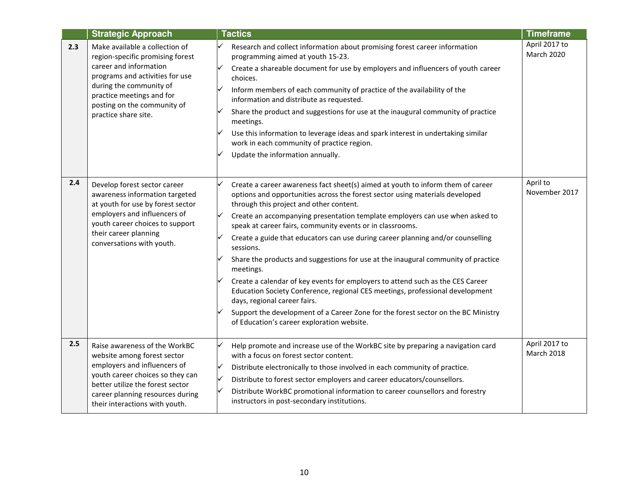|     | <b>Strategic Approach</b>                                                                                                                                                                                                                      | <b>Tactics</b>                                                                                                                                                                                                                                                                                                                                                                                                                                                                                                                                                                                                                                                                                                                                                                                                                                                                                  | <b>Timeframe</b>                   |
|-----|------------------------------------------------------------------------------------------------------------------------------------------------------------------------------------------------------------------------------------------------|-------------------------------------------------------------------------------------------------------------------------------------------------------------------------------------------------------------------------------------------------------------------------------------------------------------------------------------------------------------------------------------------------------------------------------------------------------------------------------------------------------------------------------------------------------------------------------------------------------------------------------------------------------------------------------------------------------------------------------------------------------------------------------------------------------------------------------------------------------------------------------------------------|------------------------------------|
| 2.3 | Make available a collection of<br>region-specific promising forest<br>career and information<br>programs and activities for use<br>during the community of<br>practice meetings and for<br>posting on the community of<br>practice share site. | Research and collect information about promising forest career information<br>programming aimed at youth 15-23.<br>Create a shareable document for use by employers and influencers of youth career<br>choices.<br>Inform members of each community of practice of the availability of the<br>information and distribute as requested.<br>Share the product and suggestions for use at the inaugural community of practice<br>meetings.<br>Use this information to leverage ideas and spark interest in undertaking similar<br>work in each community of practice region.<br>Update the information annually.                                                                                                                                                                                                                                                                                   | April 2017 to<br><b>March 2020</b> |
| 2.4 | Develop forest sector career<br>awareness information targeted<br>at youth for use by forest sector<br>employers and influencers of<br>youth career choices to support<br>their career planning<br>conversations with youth.                   | Create a career awareness fact sheet(s) aimed at youth to inform them of career<br>options and opportunities across the forest sector using materials developed<br>through this project and other content.<br>Create an accompanying presentation template employers can use when asked to<br>speak at career fairs, community events or in classrooms.<br>Create a guide that educators can use during career planning and/or counselling<br>sessions.<br>Share the products and suggestions for use at the inaugural community of practice<br>meetings.<br>Create a calendar of key events for employers to attend such as the CES Career<br>Education Society Conference, regional CES meetings, professional development<br>days, regional career fairs.<br>Support the development of a Career Zone for the forest sector on the BC Ministry<br>of Education's career exploration website. | April to<br>November 2017          |
| 2.5 | Raise awareness of the WorkBC<br>website among forest sector<br>employers and influencers of<br>youth career choices so they can<br>better utilize the forest sector<br>career planning resources during<br>their interactions with youth.     | Help promote and increase use of the WorkBC site by preparing a navigation card<br>with a focus on forest sector content.<br>Distribute electronically to those involved in each community of practice.<br>Distribute to forest sector employers and career educators/counsellors.<br>Distribute WorkBC promotional information to career counsellors and forestry<br>instructors in post-secondary institutions.                                                                                                                                                                                                                                                                                                                                                                                                                                                                               | April 2017 to<br>March 2018        |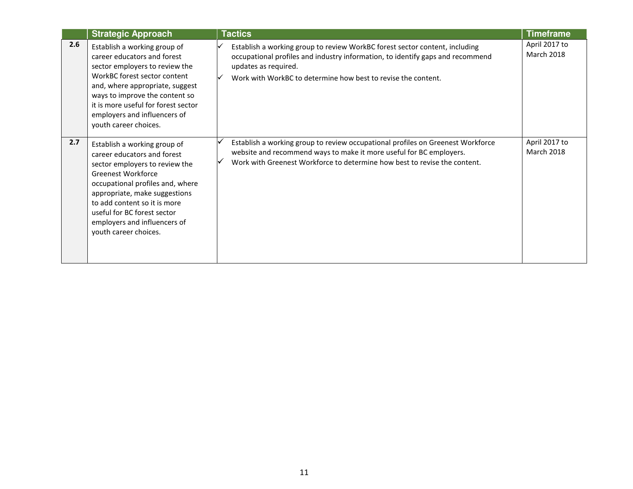|     | <b>Strategic Approach</b>                                                                                                                                                                                                                                                                                        | <b>Tactics</b>                                                                                                                                                                                                                                         | <b>Timeframe</b>                   |
|-----|------------------------------------------------------------------------------------------------------------------------------------------------------------------------------------------------------------------------------------------------------------------------------------------------------------------|--------------------------------------------------------------------------------------------------------------------------------------------------------------------------------------------------------------------------------------------------------|------------------------------------|
| 2.6 | Establish a working group of<br>career educators and forest<br>sector employers to review the<br>WorkBC forest sector content<br>and, where appropriate, suggest<br>ways to improve the content so<br>it is more useful for forest sector<br>employers and influencers of<br>youth career choices.               | Establish a working group to review WorkBC forest sector content, including<br>occupational profiles and industry information, to identify gaps and recommend<br>updates as required.<br>Work with WorkBC to determine how best to revise the content. | April 2017 to<br><b>March 2018</b> |
| 2.7 | Establish a working group of<br>career educators and forest<br>sector employers to review the<br>Greenest Workforce<br>occupational profiles and, where<br>appropriate, make suggestions<br>to add content so it is more<br>useful for BC forest sector<br>employers and influencers of<br>youth career choices. | Establish a working group to review occupational profiles on Greenest Workforce<br>website and recommend ways to make it more useful for BC employers.<br>Work with Greenest Workforce to determine how best to revise the content.                    | April 2017 to<br><b>March 2018</b> |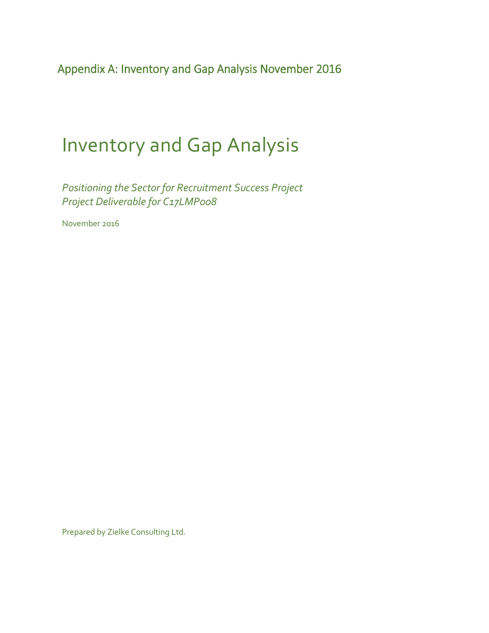<span id="page-12-0"></span>Appendix A: Inventory and Gap Analysis November 2016

# Inventory and Gap Analysis

*Positioning the Sector for Recruitment Success Project Project Deliverable for C17LMP008*

November 2016

Prepared by Zielke Consulting Ltd.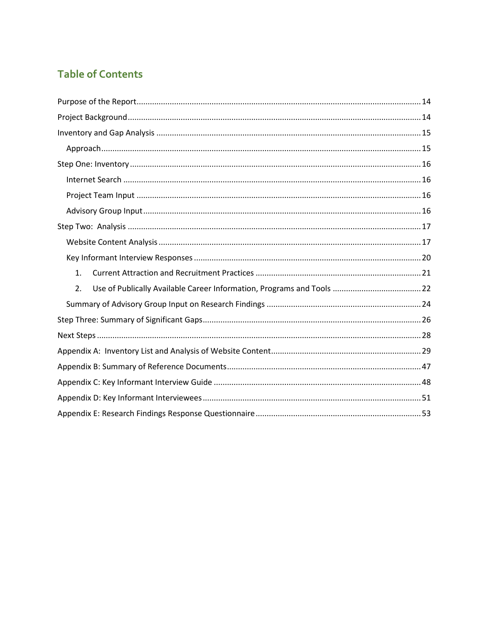### **Table of Contents**

| 1. |
|----|
| 2. |
|    |
|    |
|    |
|    |
|    |
|    |
|    |
|    |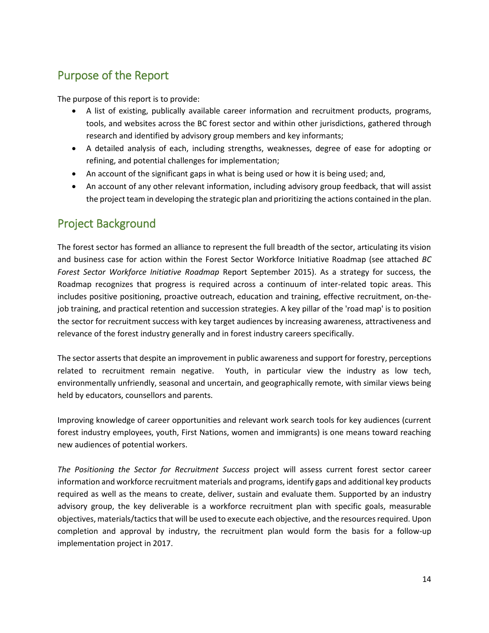### <span id="page-14-0"></span>Purpose of the Report

The purpose of this report is to provide:

- A list of existing, publically available career information and recruitment products, programs, tools, and websites across the BC forest sector and within other jurisdictions, gathered through research and identified by advisory group members and key informants;
- A detailed analysis of each, including strengths, weaknesses, degree of ease for adopting or refining, and potential challenges for implementation;
- An account of the significant gaps in what is being used or how it is being used; and,
- An account of any other relevant information, including advisory group feedback, that will assist the project team in developing the strategic plan and prioritizing the actions contained in the plan.

### <span id="page-14-1"></span>Project Background

The forest sector has formed an alliance to represent the full breadth of the sector, articulating its vision and business case for action within the Forest Sector Workforce Initiative Roadmap (see attached *BC Forest Sector Workforce Initiative Roadmap* Report September 2015). As a strategy for success, the Roadmap recognizes that progress is required across a continuum of inter-related topic areas. This includes positive positioning, proactive outreach, education and training, effective recruitment, on-thejob training, and practical retention and succession strategies. A key pillar of the 'road map' is to position the sector for recruitment success with key target audiences by increasing awareness, attractiveness and relevance of the forest industry generally and in forest industry careers specifically.

The sector asserts that despite an improvement in public awareness and support for forestry, perceptions related to recruitment remain negative. Youth, in particular view the industry as low tech, environmentally unfriendly, seasonal and uncertain, and geographically remote, with similar views being held by educators, counsellors and parents.

Improving knowledge of career opportunities and relevant work search tools for key audiences (current forest industry employees, youth, First Nations, women and immigrants) is one means toward reaching new audiences of potential workers.

*The Positioning the Sector for Recruitment Success* project will assess current forest sector career information and workforce recruitment materials and programs, identify gaps and additional key products required as well as the means to create, deliver, sustain and evaluate them. Supported by an industry advisory group, the key deliverable is a workforce recruitment plan with specific goals, measurable objectives, materials/tactics that will be used to execute each objective, and the resources required. Upon completion and approval by industry, the recruitment plan would form the basis for a follow-up implementation project in 2017.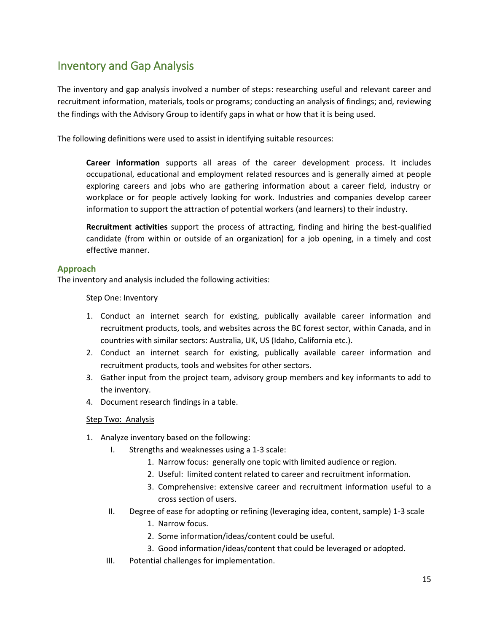### <span id="page-15-0"></span>Inventory and Gap Analysis

The inventory and gap analysis involved a number of steps: researching useful and relevant career and recruitment information, materials, tools or programs; conducting an analysis of findings; and, reviewing the findings with the Advisory Group to identify gaps in what or how that it is being used.

The following definitions were used to assist in identifying suitable resources:

**Career information** supports all areas of the career development process. It includes occupational, educational and employment related resources and is generally aimed at people exploring careers and jobs who are gathering information about a career field, industry or workplace or for people actively looking for work. Industries and companies develop career information to support the attraction of potential workers (and learners) to their industry.

**Recruitment activities** support the [process](http://www.businessdictionary.com/definition/process.html) of attracting, finding and hiring the best-qualified [candidate](http://www.businessdictionary.com/definition/candidate.html) (from within or outside of an organization) for a job opening, in a timely and [cost](http://www.businessdictionary.com/definition/cost.html)  [effective](http://www.businessdictionary.com/definition/effective.html) manner.

#### <span id="page-15-1"></span>**Approach**

The inventory and analysis included the following activities:

#### Step One: Inventory

- 1. Conduct an internet search for existing, publically available career information and recruitment products, tools, and websites across the BC forest sector, within Canada, and in countries with similar sectors: Australia, UK, US (Idaho, California etc.).
- 2. Conduct an internet search for existing, publically available career information and recruitment products, tools and websites for other sectors.
- 3. Gather input from the project team, advisory group members and key informants to add to the inventory.
- 4. Document research findings in a table.

#### Step Two: Analysis

- 1. Analyze inventory based on the following:
	- I. Strengths and weaknesses using a 1-3 scale:
		- 1. Narrow focus: generally one topic with limited audience or region.
		- 2. Useful: limited content related to career and recruitment information.
		- 3. Comprehensive: extensive career and recruitment information useful to a cross section of users.
	- II. Degree of ease for adopting or refining (leveraging idea, content, sample) 1-3 scale
		- 1. Narrow focus.
		- 2. Some information/ideas/content could be useful.
		- 3. Good information/ideas/content that could be leveraged or adopted.
	- III. Potential challenges for implementation.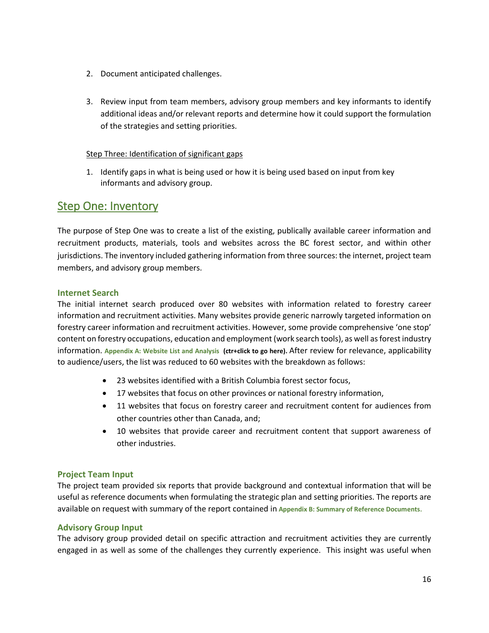- 2. Document anticipated challenges.
- 3. Review input from team members, advisory group members and key informants to identify additional ideas and/or relevant reports and determine how it could support the formulation of the strategies and setting priorities.

#### Step Three: Identification of significant gaps

1. Identify gaps in what is being used or how it is being used based on input from key informants and advisory group.

### <span id="page-16-0"></span>Step One: Inventory

The purpose of Step One was to create a list of the existing, publically available career information and recruitment products, materials, tools and websites across the BC forest sector, and within other jurisdictions. The inventory included gathering information from three sources: the internet, project team members, and advisory group members.

#### <span id="page-16-1"></span>**Internet Search**

The initial internet search produced over 80 websites with information related to forestry career information and recruitment activities. Many websites provide generic narrowly targeted information on forestry career information and recruitment activities. However, some provide comprehensive 'one stop' content on forestry occupations, education and employment (work search tools), as well as forest industry information. **[Appendix A: Website List and Analysis](#page-29-0) (ctr+click to go here).** After review for relevance, applicability to audience/users, the list was reduced to 60 websites with the breakdown as follows:

- 23 websites identified with a British Columbia forest sector focus,
- 17 websites that focus on other provinces or national forestry information,
- 11 websites that focus on forestry career and recruitment content for audiences from other countries other than Canada, and;
- 10 websites that provide career and recruitment content that support awareness of other industries.

#### <span id="page-16-2"></span>**Project Team Input**

The project team provided six reports that provide background and contextual information that will be useful as reference documents when formulating the strategic plan and setting priorities. The reports are available on request with summary of the report contained in **[Appendix B: Summary of Reference Documents](#page-47-0)**.

#### <span id="page-16-3"></span>**Advisory Group Input**

The advisory group provided detail on specific attraction and recruitment activities they are currently engaged in as well as some of the challenges they currently experience. This insight was useful when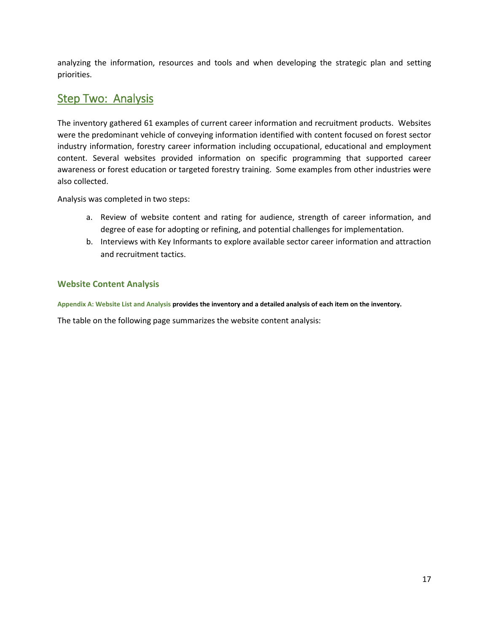analyzing the information, resources and tools and when developing the strategic plan and setting priorities.

### <span id="page-17-0"></span>**Step Two: Analysis**

The inventory gathered 61 examples of current career information and recruitment products. Websites were the predominant vehicle of conveying information identified with content focused on forest sector industry information, forestry career information including occupational, educational and employment content. Several websites provided information on specific programming that supported career awareness or forest education or targeted forestry training. Some examples from other industries were also collected.

Analysis was completed in two steps:

- a. Review of website content and rating for audience, strength of career information, and degree of ease for adopting or refining, and potential challenges for implementation.
- b. Interviews with Key Informants to explore available sector career information and attraction and recruitment tactics.

#### <span id="page-17-1"></span>**Website Content Analysis**

**[Appendix A: Website List and Analysis](#page-29-0) provides the inventory and a detailed analysis of each item on the inventory.** 

The table on the following page summarizes the website content analysis: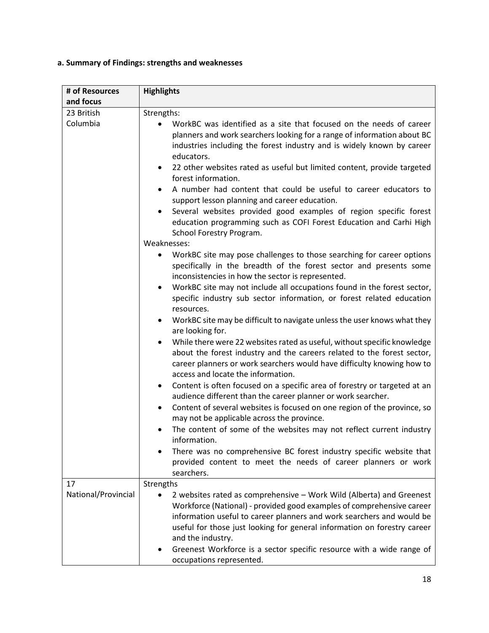#### **a. Summary of Findings: strengths and weaknesses**

| # of Resources      | <b>Highlights</b>                                                                                                                                                                                                                                                                                                                                                                                                                                                                                                                                                                                                                                 |
|---------------------|---------------------------------------------------------------------------------------------------------------------------------------------------------------------------------------------------------------------------------------------------------------------------------------------------------------------------------------------------------------------------------------------------------------------------------------------------------------------------------------------------------------------------------------------------------------------------------------------------------------------------------------------------|
| and focus           |                                                                                                                                                                                                                                                                                                                                                                                                                                                                                                                                                                                                                                                   |
| 23 British          | Strengths:                                                                                                                                                                                                                                                                                                                                                                                                                                                                                                                                                                                                                                        |
| Columbia            | WorkBC was identified as a site that focused on the needs of career<br>planners and work searchers looking for a range of information about BC<br>industries including the forest industry and is widely known by career<br>educators.<br>22 other websites rated as useful but limited content, provide targeted<br>$\bullet$<br>forest information.<br>A number had content that could be useful to career educators to<br>support lesson planning and career education.<br>Several websites provided good examples of region specific forest<br>education programming such as COFI Forest Education and Carhi High<br>School Forestry Program. |
|                     | Weaknesses:                                                                                                                                                                                                                                                                                                                                                                                                                                                                                                                                                                                                                                       |
|                     | WorkBC site may pose challenges to those searching for career options<br>$\bullet$<br>specifically in the breadth of the forest sector and presents some<br>inconsistencies in how the sector is represented.                                                                                                                                                                                                                                                                                                                                                                                                                                     |
|                     | WorkBC site may not include all occupations found in the forest sector,<br>٠<br>specific industry sub sector information, or forest related education<br>resources.                                                                                                                                                                                                                                                                                                                                                                                                                                                                               |
|                     | WorkBC site may be difficult to navigate unless the user knows what they<br>are looking for.                                                                                                                                                                                                                                                                                                                                                                                                                                                                                                                                                      |
|                     | While there were 22 websites rated as useful, without specific knowledge<br>about the forest industry and the careers related to the forest sector,<br>career planners or work searchers would have difficulty knowing how to<br>access and locate the information.                                                                                                                                                                                                                                                                                                                                                                               |
|                     | Content is often focused on a specific area of forestry or targeted at an<br>audience different than the career planner or work searcher.                                                                                                                                                                                                                                                                                                                                                                                                                                                                                                         |
|                     | Content of several websites is focused on one region of the province, so<br>may not be applicable across the province.                                                                                                                                                                                                                                                                                                                                                                                                                                                                                                                            |
|                     | The content of some of the websites may not reflect current industry<br>information.                                                                                                                                                                                                                                                                                                                                                                                                                                                                                                                                                              |
|                     | There was no comprehensive BC forest industry specific website that<br>provided content to meet the needs of career planners or work<br>searchers.                                                                                                                                                                                                                                                                                                                                                                                                                                                                                                |
| 17                  | Strengths                                                                                                                                                                                                                                                                                                                                                                                                                                                                                                                                                                                                                                         |
| National/Provincial | 2 websites rated as comprehensive - Work Wild (Alberta) and Greenest<br>Workforce (National) - provided good examples of comprehensive career<br>information useful to career planners and work searchers and would be<br>useful for those just looking for general information on forestry career<br>and the industry.<br>Greenest Workforce is a sector specific resource with a wide range of<br>occupations represented.                                                                                                                                                                                                                      |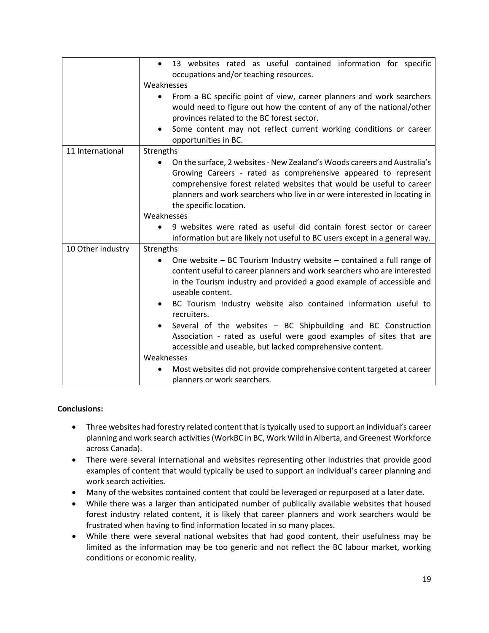|                   | 13 websites rated as useful contained information for specific<br>$\bullet$<br>occupations and/or teaching resources.<br>Weaknesses<br>From a BC specific point of view, career planners and work searchers<br>would need to figure out how the content of any of the national/other<br>provinces related to the BC forest sector.<br>Some content may not reflect current working conditions or career<br>opportunities in BC.                                                                                                                                                                                                                                                                        |
|-------------------|--------------------------------------------------------------------------------------------------------------------------------------------------------------------------------------------------------------------------------------------------------------------------------------------------------------------------------------------------------------------------------------------------------------------------------------------------------------------------------------------------------------------------------------------------------------------------------------------------------------------------------------------------------------------------------------------------------|
| 11 International  | Strengths<br>On the surface, 2 websites - New Zealand's Woods careers and Australia's<br>Growing Careers - rated as comprehensive appeared to represent<br>comprehensive forest related websites that would be useful to career<br>planners and work searchers who live in or were interested in locating in<br>the specific location.<br>Weaknesses<br>9 websites were rated as useful did contain forest sector or career<br>information but are likely not useful to BC users except in a general way.                                                                                                                                                                                              |
| 10 Other industry | Strengths<br>One website $-$ BC Tourism Industry website $-$ contained a full range of<br>content useful to career planners and work searchers who are interested<br>in the Tourism industry and provided a good example of accessible and<br>useable content.<br>BC Tourism Industry website also contained information useful to<br>$\bullet$<br>recruiters.<br>Several of the websites - BC Shipbuilding and BC Construction<br>Association - rated as useful were good examples of sites that are<br>accessible and useable, but lacked comprehensive content.<br>Weaknesses<br>Most websites did not provide comprehensive content targeted at career<br>$\bullet$<br>planners or work searchers. |

#### **Conclusions:**

- Three websites had forestry related content that is typically used to support an individual's career planning and work search activities (WorkBC in BC, Work Wild in Alberta, and Greenest Workforce across Canada).
- There were several international and websites representing other industries that provide good examples of content that would typically be used to support an individual's career planning and work search activities.
- Many of the websites contained content that could be leveraged or repurposed at a later date.
- While there was a larger than anticipated number of publically available websites that housed forest industry related content, it is likely that career planners and work searchers would be frustrated when having to find information located in so many places.
- While there were several national websites that had good content, their usefulness may be limited as the information may be too generic and not reflect the BC labour market, working conditions or economic reality.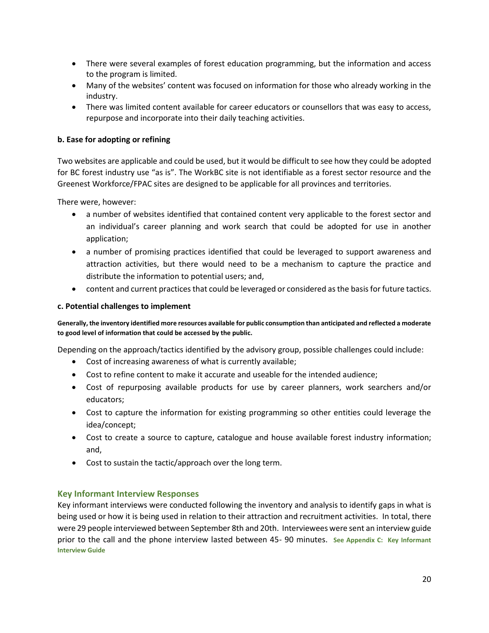- There were several examples of forest education programming, but the information and access to the program is limited.
- Many of the websites' content was focused on information for those who already working in the industry.
- There was limited content available for career educators or counsellors that was easy to access, repurpose and incorporate into their daily teaching activities.

#### **b. Ease for adopting or refining**

Two websites are applicable and could be used, but it would be difficult to see how they could be adopted for BC forest industry use "as is". The WorkBC site is not identifiable as a forest sector resource and the Greenest Workforce/FPAC sites are designed to be applicable for all provinces and territories.

There were, however:

- a number of websites identified that contained content very applicable to the forest sector and an individual's career planning and work search that could be adopted for use in another application;
- a number of promising practices identified that could be leveraged to support awareness and attraction activities, but there would need to be a mechanism to capture the practice and distribute the information to potential users; and,
- content and current practices that could be leveraged or considered as the basis for future tactics.

#### **c. Potential challenges to implement**

**Generally, the inventory identified more resources available for public consumption than anticipated and reflected a moderate to good level of information that could be accessed by the public.** 

Depending on the approach/tactics identified by the advisory group, possible challenges could include:

- Cost of increasing awareness of what is currently available;
- Cost to refine content to make it accurate and useable for the intended audience;
- Cost of repurposing available products for use by career planners, work searchers and/or educators;
- Cost to capture the information for existing programming so other entities could leverage the idea/concept;
- Cost to create a source to capture, catalogue and house available forest industry information; and,
- Cost to sustain the tactic/approach over the long term.

#### <span id="page-20-0"></span>**Key Informant Interview Responses**

Key informant interviews were conducted following the inventory and analysis to identify gaps in what is being used or how it is being used in relation to their attraction and recruitment activities. In total, there were 29 people interviewed between September 8th and 20th. Interviewees were sent an interview guide prior to the call and the phone interview lasted between 45- 90 minutes. **[See Appendix C: Key Informant](#page-48-0)  [Interview Guide](#page-48-0)**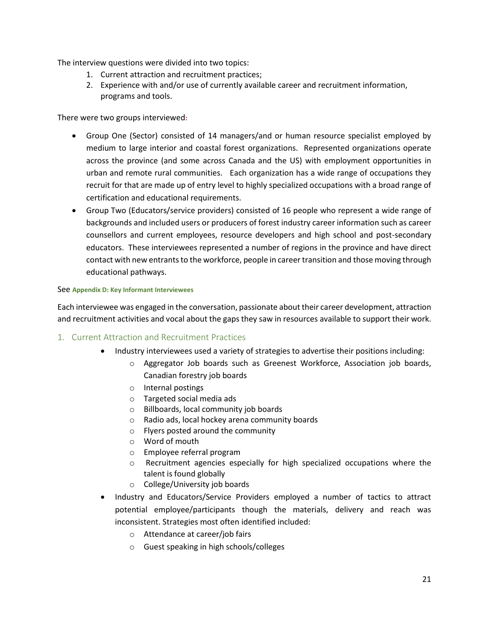The interview questions were divided into two topics:

- 1. Current attraction and recruitment practices;
- 2. Experience with and/or use of currently available career and recruitment information, programs and tools.

There were two groups interviewed**:**

- Group One (Sector) consisted of 14 managers/and or human resource specialist employed by medium to large interior and coastal forest organizations. Represented organizations operate across the province (and some across Canada and the US) with employment opportunities in urban and remote rural communities. Each organization has a wide range of occupations they recruit for that are made up of entry level to highly specialized occupations with a broad range of certification and educational requirements.
- Group Two (Educators/service providers) consisted of 16 people who represent a wide range of backgrounds and included users or producers of forest industry career information such as career counsellors and current employees, resource developers and high school and post-secondary educators. These interviewees represented a number of regions in the province and have direct contact with new entrants to the workforce, people in career transition and those moving through educational pathways.

#### See **[Appendix D: Key Informant Interviewees](#page-48-0)**

Each interviewee was engaged in the conversation, passionate about their career development, attraction and recruitment activities and vocal about the gaps they saw in resources available to support their work.

#### <span id="page-21-0"></span>1. Current Attraction and Recruitment Practices

- Industry interviewees used a variety of strategies to advertise their positions including:
	- o Aggregator Job boards such as Greenest Workforce, Association job boards, Canadian forestry job boards
	- o Internal postings
	- o Targeted social media ads
	- o Billboards, local community job boards
	- o Radio ads, local hockey arena community boards
	- o Flyers posted around the community
	- o Word of mouth
	- o Employee referral program
	- o Recruitment agencies especially for high specialized occupations where the talent is found globally
	- o College/University job boards
- Industry and Educators/Service Providers employed a number of tactics to attract potential employee/participants though the materials, delivery and reach was inconsistent. Strategies most often identified included:
	- o Attendance at career/job fairs
	- o Guest speaking in high schools/colleges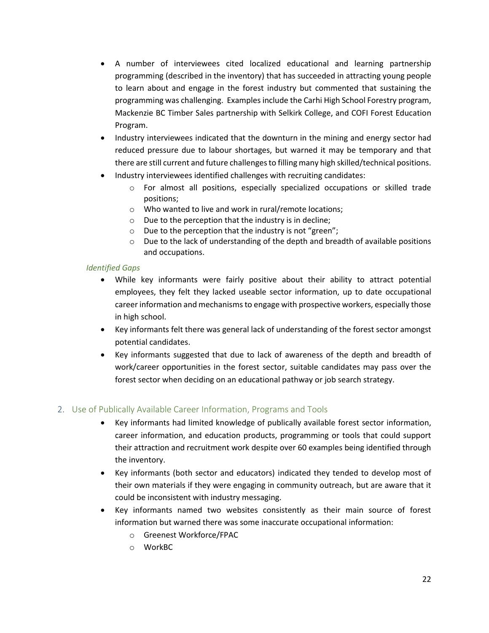- A number of interviewees cited localized educational and learning partnership programming (described in the inventory) that has succeeded in attracting young people to learn about and engage in the forest industry but commented that sustaining the programming was challenging. Examples include the Carhi High School Forestry program, Mackenzie BC Timber Sales partnership with Selkirk College, and COFI Forest Education Program.
- Industry interviewees indicated that the downturn in the mining and energy sector had reduced pressure due to labour shortages, but warned it may be temporary and that there are still current and future challenges to filling many high skilled/technical positions.
- Industry interviewees identified challenges with recruiting candidates:
	- o For almost all positions, especially specialized occupations or skilled trade positions;
	- o Who wanted to live and work in rural/remote locations;
	- o Due to the perception that the industry is in decline;
	- o Due to the perception that the industry is not "green";
	- $\circ$  Due to the lack of understanding of the depth and breadth of available positions and occupations.

#### *Identified Gaps*

- While key informants were fairly positive about their ability to attract potential employees, they felt they lacked useable sector information, up to date occupational career information and mechanisms to engage with prospective workers, especially those in high school.
- Key informants felt there was general lack of understanding of the forest sector amongst potential candidates.
- Key informants suggested that due to lack of awareness of the depth and breadth of work/career opportunities in the forest sector, suitable candidates may pass over the forest sector when deciding on an educational pathway or job search strategy.

#### <span id="page-22-0"></span>2. Use of Publically Available Career Information, Programs and Tools

- Key informants had limited knowledge of publically available forest sector information, career information, and education products, programming or tools that could support their attraction and recruitment work despite over 60 examples being identified through the inventory.
- Key informants (both sector and educators) indicated they tended to develop most of their own materials if they were engaging in community outreach, but are aware that it could be inconsistent with industry messaging.
- Key informants named two websites consistently as their main source of forest information but warned there was some inaccurate occupational information:
	- o Greenest Workforce/FPAC
	- o WorkBC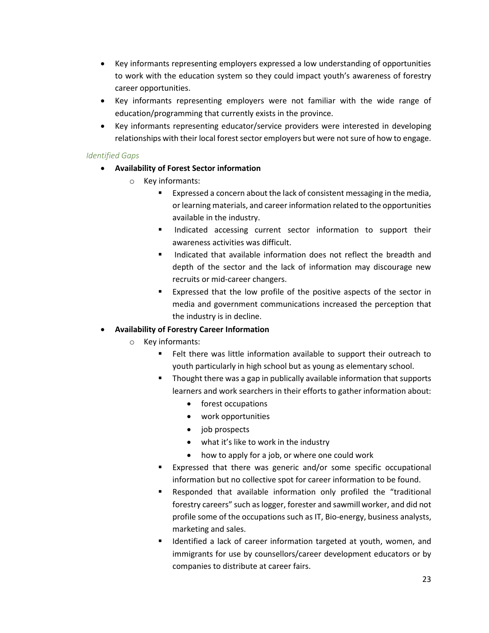- Key informants representing employers expressed a low understanding of opportunities to work with the education system so they could impact youth's awareness of forestry career opportunities.
- Key informants representing employers were not familiar with the wide range of education/programming that currently exists in the province.
- Key informants representing educator/service providers were interested in developing relationships with their local forest sector employers but were not sure of how to engage.

#### *Identified Gaps*

- **Availability of Forest Sector information** 
	- o Key informants:
		- **Expressed a concern about the lack of consistent messaging in the media,** or learning materials, and career information related to the opportunities available in the industry.
		- **Indicated accessing current sector information to support their** awareness activities was difficult.
		- **Indicated that available information does not reflect the breadth and** depth of the sector and the lack of information may discourage new recruits or mid-career changers.
		- **Expressed that the low profile of the positive aspects of the sector in** media and government communications increased the perception that the industry is in decline.

#### **Availability of Forestry Career Information**

- o Key informants:
	- **Felt there was little information available to support their outreach to** youth particularly in high school but as young as elementary school.
	- **Thought there was a gap in publically available information that supports** learners and work searchers in their efforts to gather information about:
		- forest occupations
		- work opportunities
		- job prospects
		- what it's like to work in the industry
		- how to apply for a job, or where one could work
	- **Expressed that there was generic and/or some specific occupational** information but no collective spot for career information to be found.
	- Responded that available information only profiled the "traditional forestry careers" such as logger, forester and sawmill worker, and did not profile some of the occupations such as IT, Bio-energy, business analysts, marketing and sales.
	- **If** Identified a lack of career information targeted at youth, women, and immigrants for use by counsellors/career development educators or by companies to distribute at career fairs.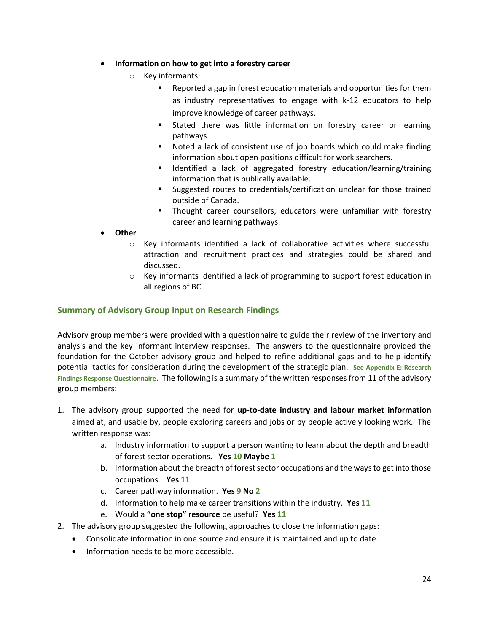- **Information on how to get into a forestry career** 
	- o Key informants:
		- Reported a gap in forest education materials and opportunities for them as industry representatives to engage with k-12 educators to help improve knowledge of career pathways.
		- Stated there was little information on forestry career or learning pathways.
		- Noted a lack of consistent use of job boards which could make finding information about open positions difficult for work searchers.
		- **If** Identified a lack of aggregated forestry education/learning/training information that is publically available.
		- Suggested routes to credentials/certification unclear for those trained outside of Canada.
		- **Thought career counsellors, educators were unfamiliar with forestry** career and learning pathways.
- **Other** 
	- $\circ$  Key informants identified a lack of collaborative activities where successful attraction and recruitment practices and strategies could be shared and discussed.
	- o Key informants identified a lack of programming to support forest education in all regions of BC.

#### <span id="page-24-0"></span>**Summary of Advisory Group Input on Research Findings**

Advisory group members were provided with a questionnaire to guide their review of the inventory and analysis and the key informant interview responses. The answers to the questionnaire provided the foundation for the October advisory group and helped to refine additional gaps and to help identify potential tactics for consideration during the development of the strategic plan. See Appendix E: Research **[Findings Response Questionnaire](#page-53-0)**. The following is a summary of the written responses from 11 of the advisory group members:

- 1. The advisory group supported the need for **up-to-date industry and labour market information** aimed at, and usable by, people exploring careers and jobs or by people actively looking work. The written response was:
	- a. Industry information to support a person wanting to learn about the depth and breadth of forest sector operations**. Yes 10 Maybe 1**
	- b. Information about the breadth of forest sector occupations and the ways to get into those occupations. **Yes 11**
	- c. Career pathway information. **Yes 9 No 2**
	- d. Information to help make career transitions within the industry. **Yes 11**
	- e. Would a **"one stop" resource** be useful? **Yes 11**
- 2. The advisory group suggested the following approaches to close the information gaps:
	- Consolidate information in one source and ensure it is maintained and up to date.
	- Information needs to be more accessible.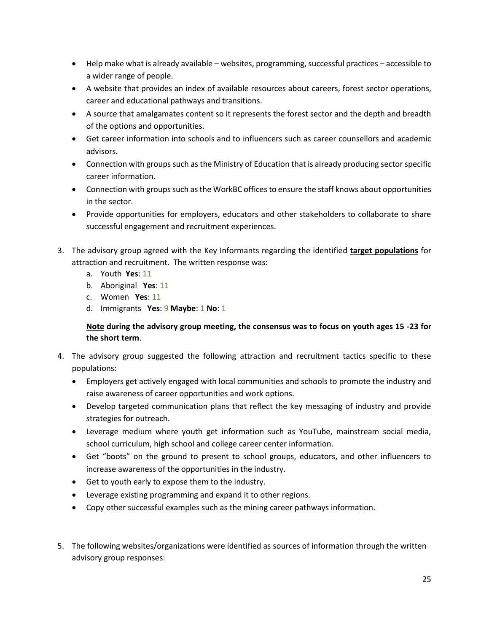- Help make what is already available websites, programming, successful practices accessible to a wider range of people.
- A website that provides an index of available resources about careers, forest sector operations, career and educational pathways and transitions.
- A source that amalgamates content so it represents the forest sector and the depth and breadth of the options and opportunities.
- Get career information into schools and to influencers such as career counsellors and academic advisors.
- Connection with groups such as the Ministry of Education that is already producing sector specific career information.
- Connection with groups such as the WorkBC offices to ensure the staff knows about opportunities in the sector.
- Provide opportunities for employers, educators and other stakeholders to collaborate to share successful engagement and recruitment experiences.
- 3. The advisory group agreed with the Key Informants regarding the identified **target populations** for attraction and recruitment. The written response was:
	- a. Youth **Yes**: 11
	- b. Aboriginal **Yes**: 11
	- c. Women **Yes**: 11
	- d. Immigrants **Yes**: 9 **Maybe**: 1 **No**: 1

**Note during the advisory group meeting, the consensus was to focus on youth ages 15 -23 for the short term**.

- 4. The advisory group suggested the following attraction and recruitment tactics specific to these populations:
	- Employers get actively engaged with local communities and schools to promote the industry and raise awareness of career opportunities and work options.
	- Develop targeted communication plans that reflect the key messaging of industry and provide strategies for outreach.
	- Leverage medium where youth get information such as YouTube, mainstream social media, school curriculum, high school and college career center information.
	- Get "boots" on the ground to present to school groups, educators, and other influencers to increase awareness of the opportunities in the industry.
	- Get to youth early to expose them to the industry.
	- Leverage existing programming and expand it to other regions.
	- Copy other successful examples such as the mining career pathways information.
- 5. The following websites/organizations were identified as sources of information through the written advisory group responses: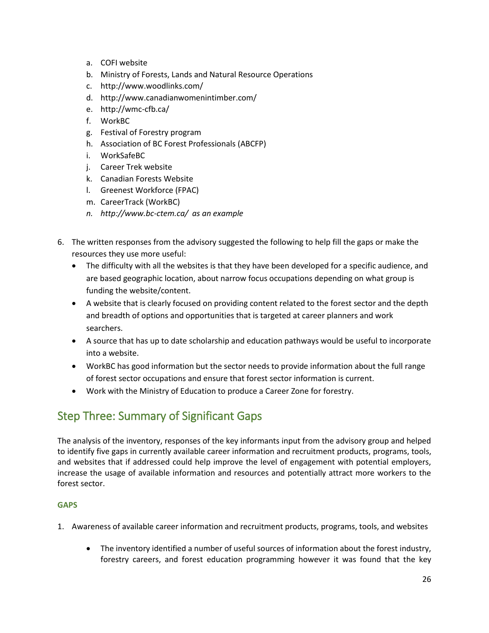- a. COFI website
- b. Ministry of Forests, Lands and Natural Resource Operations
- c. http://www.woodlinks.com/
- d. http://www.canadianwomenintimber.com/
- e. http://wmc-cfb.ca/
- f. WorkBC
- g. Festival of Forestry program
- h. Association of BC Forest Professionals (ABCFP)
- i. WorkSafeBC
- j. Career Trek website
- k. Canadian Forests Website
- l. Greenest Workforce (FPAC)
- m. CareerTrack (WorkBC)
- *n. http://www.bc-ctem.ca/ as an example*
- 6. The written responses from the advisory suggested the following to help fill the gaps or make the resources they use more useful:
	- The difficulty with all the websites is that they have been developed for a specific audience, and are based geographic location, about narrow focus occupations depending on what group is funding the website/content.
	- A website that is clearly focused on providing content related to the forest sector and the depth and breadth of options and opportunities that is targeted at career planners and work searchers.
	- A source that has up to date scholarship and education pathways would be useful to incorporate into a website.
	- WorkBC has good information but the sector needs to provide information about the full range of forest sector occupations and ensure that forest sector information is current.
	- Work with the Ministry of Education to produce a Career Zone for forestry.

### <span id="page-26-0"></span>Step Three: Summary of Significant Gaps

The analysis of the inventory, responses of the key informants input from the advisory group and helped to identify five gaps in currently available career information and recruitment products, programs, tools, and websites that if addressed could help improve the level of engagement with potential employers, increase the usage of available information and resources and potentially attract more workers to the forest sector.

#### **GAPS**

- 1. Awareness of available career information and recruitment products, programs, tools, and websites
	- The inventory identified a number of useful sources of information about the forest industry, forestry careers, and forest education programming however it was found that the key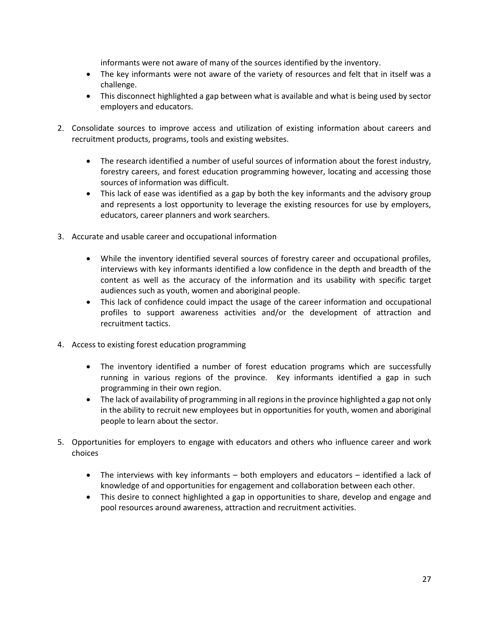informants were not aware of many of the sources identified by the inventory.

- The key informants were not aware of the variety of resources and felt that in itself was a challenge.
- This disconnect highlighted a gap between what is available and what is being used by sector employers and educators.
- 2. Consolidate sources to improve access and utilization of existing information about careers and recruitment products, programs, tools and existing websites.
	- The research identified a number of useful sources of information about the forest industry, forestry careers, and forest education programming however, locating and accessing those sources of information was difficult.
	- This lack of ease was identified as a gap by both the key informants and the advisory group and represents a lost opportunity to leverage the existing resources for use by employers, educators, career planners and work searchers.
- 3. Accurate and usable career and occupational information
	- While the inventory identified several sources of forestry career and occupational profiles, interviews with key informants identified a low confidence in the depth and breadth of the content as well as the accuracy of the information and its usability with specific target audiences such as youth, women and aboriginal people.
	- This lack of confidence could impact the usage of the career information and occupational profiles to support awareness activities and/or the development of attraction and recruitment tactics.
- 4. Access to existing forest education programming
	- The inventory identified a number of forest education programs which are successfully running in various regions of the province. Key informants identified a gap in such programming in their own region.
	- The lack of availability of programming in all regions in the province highlighted a gap not only in the ability to recruit new employees but in opportunities for youth, women and aboriginal people to learn about the sector.
- 5. Opportunities for employers to engage with educators and others who influence career and work choices
	- The interviews with key informants both employers and educators identified a lack of knowledge of and opportunities for engagement and collaboration between each other.
	- This desire to connect highlighted a gap in opportunities to share, develop and engage and pool resources around awareness, attraction and recruitment activities.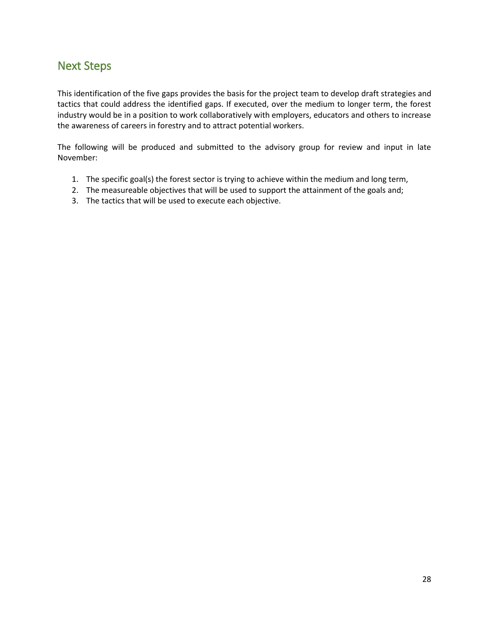### <span id="page-28-0"></span>Next Steps

This identification of the five gaps provides the basis for the project team to develop draft strategies and tactics that could address the identified gaps. If executed, over the medium to longer term, the forest industry would be in a position to work collaboratively with employers, educators and others to increase the awareness of careers in forestry and to attract potential workers.

The following will be produced and submitted to the advisory group for review and input in late November:

- 1. The specific goal(s) the forest sector is trying to achieve within the medium and long term,
- 2. The measureable objectives that will be used to support the attainment of the goals and;
- 3. The tactics that will be used to execute each objective.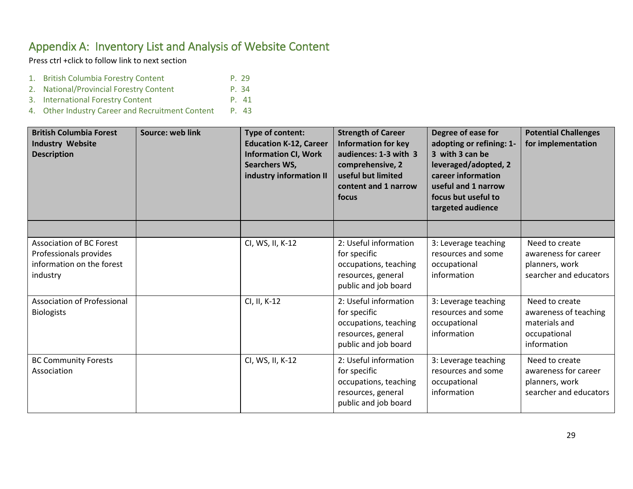### Appendix A: Inventory List and Analysis of Website Content

Press ctrl +click to follow link to next section

- 1. British Columbia Forestry Content P. 29
- 2. [National/Provincial Forestry Content P. 34](#page-37-0)
- 3. [International Forestry Content P. 4](#page-41-0)1
- 4. Other Industry Career and Recruitment Content P. 43

<span id="page-29-0"></span>

| <b>British Columbia Forest</b><br><b>Industry Website</b><br><b>Description</b>                    | Source: web link | Type of content:<br><b>Education K-12, Career</b><br><b>Information CI, Work</b><br>Searchers WS,<br>industry information II | <b>Strength of Career</b><br><b>Information for key</b><br>audiences: 1-3 with 3<br>comprehensive, 2<br>useful but limited<br>content and 1 narrow<br>focus | Degree of ease for<br>adopting or refining: 1-<br>3 with 3 can be<br>leveraged/adopted, 2<br>career information<br>useful and 1 narrow<br>focus but useful to<br>targeted audience | <b>Potential Challenges</b><br>for implementation                                       |
|----------------------------------------------------------------------------------------------------|------------------|------------------------------------------------------------------------------------------------------------------------------|-------------------------------------------------------------------------------------------------------------------------------------------------------------|------------------------------------------------------------------------------------------------------------------------------------------------------------------------------------|-----------------------------------------------------------------------------------------|
|                                                                                                    |                  |                                                                                                                              |                                                                                                                                                             |                                                                                                                                                                                    |                                                                                         |
| <b>Association of BC Forest</b><br>Professionals provides<br>information on the forest<br>industry |                  | CI, WS, II, K-12                                                                                                             | 2: Useful information<br>for specific<br>occupations, teaching<br>resources, general<br>public and job board                                                | 3: Leverage teaching<br>resources and some<br>occupational<br>information                                                                                                          | Need to create<br>awareness for career<br>planners, work<br>searcher and educators      |
| Association of Professional<br><b>Biologists</b>                                                   |                  | CI, II, K-12                                                                                                                 | 2: Useful information<br>for specific<br>occupations, teaching<br>resources, general<br>public and job board                                                | 3: Leverage teaching<br>resources and some<br>occupational<br>information                                                                                                          | Need to create<br>awareness of teaching<br>materials and<br>occupational<br>information |
| <b>BC Community Forests</b><br>Association                                                         |                  | CI, WS, II, K-12                                                                                                             | 2: Useful information<br>for specific<br>occupations, teaching<br>resources, general<br>public and job board                                                | 3: Leverage teaching<br>resources and some<br>occupational<br>information                                                                                                          | Need to create<br>awareness for career<br>planners, work<br>searcher and educators      |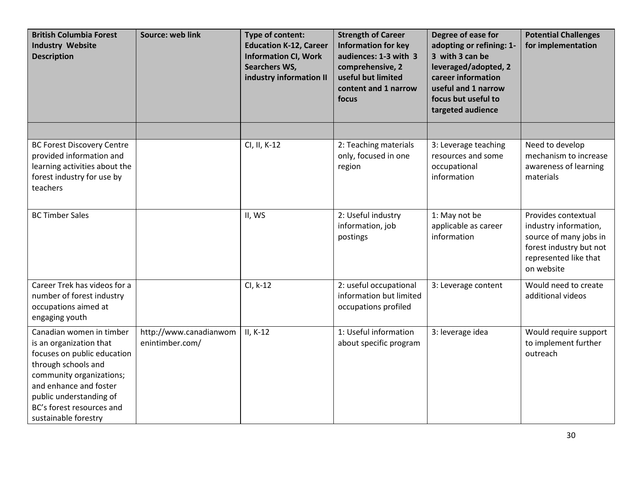| <b>British Columbia Forest</b><br><b>Industry Website</b><br><b>Description</b>                                                                                                                                                                 | Source: web link                          | Type of content:<br><b>Education K-12, Career</b><br><b>Information CI, Work</b><br><b>Searchers WS,</b><br>industry information II | <b>Strength of Career</b><br><b>Information for key</b><br>audiences: 1-3 with 3<br>comprehensive, 2<br>useful but limited<br>content and 1 narrow<br>focus | Degree of ease for<br>adopting or refining: 1-<br>3 with 3 can be<br>leveraged/adopted, 2<br>career information<br>useful and 1 narrow<br>focus but useful to<br>targeted audience | <b>Potential Challenges</b><br>for implementation                                                                                        |
|-------------------------------------------------------------------------------------------------------------------------------------------------------------------------------------------------------------------------------------------------|-------------------------------------------|-------------------------------------------------------------------------------------------------------------------------------------|-------------------------------------------------------------------------------------------------------------------------------------------------------------|------------------------------------------------------------------------------------------------------------------------------------------------------------------------------------|------------------------------------------------------------------------------------------------------------------------------------------|
|                                                                                                                                                                                                                                                 |                                           |                                                                                                                                     |                                                                                                                                                             |                                                                                                                                                                                    |                                                                                                                                          |
| <b>BC Forest Discovery Centre</b><br>provided information and<br>learning activities about the<br>forest industry for use by<br>teachers                                                                                                        |                                           | CI, II, K-12                                                                                                                        | 2: Teaching materials<br>only, focused in one<br>region                                                                                                     | 3: Leverage teaching<br>resources and some<br>occupational<br>information                                                                                                          | Need to develop<br>mechanism to increase<br>awareness of learning<br>materials                                                           |
| <b>BC Timber Sales</b>                                                                                                                                                                                                                          |                                           | II, WS                                                                                                                              | 2: Useful industry<br>information, job<br>postings                                                                                                          | 1: May not be<br>applicable as career<br>information                                                                                                                               | Provides contextual<br>industry information,<br>source of many jobs in<br>forest industry but not<br>represented like that<br>on website |
| Career Trek has videos for a<br>number of forest industry<br>occupations aimed at<br>engaging youth                                                                                                                                             |                                           | CI, k-12                                                                                                                            | 2: useful occupational<br>information but limited<br>occupations profiled                                                                                   | 3: Leverage content                                                                                                                                                                | Would need to create<br>additional videos                                                                                                |
| Canadian women in timber<br>is an organization that<br>focuses on public education<br>through schools and<br>community organizations;<br>and enhance and foster<br>public understanding of<br>BC's forest resources and<br>sustainable forestry | http://www.canadianwom<br>enintimber.com/ | $II, K-12$                                                                                                                          | 1: Useful information<br>about specific program                                                                                                             | 3: leverage idea                                                                                                                                                                   | Would require support<br>to implement further<br>outreach                                                                                |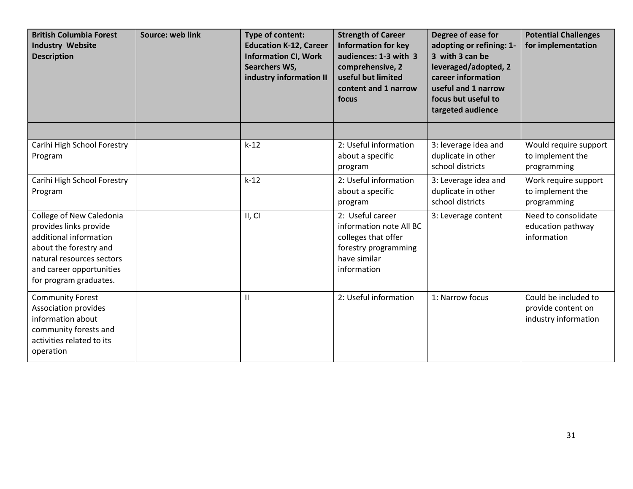| <b>British Columbia Forest</b><br><b>Industry Website</b><br><b>Description</b>                                                                                                           | Source: web link | Type of content:<br><b>Education K-12, Career</b><br><b>Information CI, Work</b><br>Searchers WS,<br>industry information II | <b>Strength of Career</b><br><b>Information for key</b><br>audiences: 1-3 with 3<br>comprehensive, 2<br>useful but limited<br>content and 1 narrow<br>focus | Degree of ease for<br>adopting or refining: 1-<br>3 with 3 can be<br>leveraged/adopted, 2<br>career information<br>useful and 1 narrow<br>focus but useful to<br>targeted audience | <b>Potential Challenges</b><br>for implementation                  |
|-------------------------------------------------------------------------------------------------------------------------------------------------------------------------------------------|------------------|------------------------------------------------------------------------------------------------------------------------------|-------------------------------------------------------------------------------------------------------------------------------------------------------------|------------------------------------------------------------------------------------------------------------------------------------------------------------------------------------|--------------------------------------------------------------------|
|                                                                                                                                                                                           |                  |                                                                                                                              |                                                                                                                                                             |                                                                                                                                                                                    |                                                                    |
| Carihi High School Forestry<br>Program                                                                                                                                                    |                  | $k-12$                                                                                                                       | 2: Useful information<br>about a specific<br>program                                                                                                        | 3: leverage idea and<br>duplicate in other<br>school districts                                                                                                                     | Would require support<br>to implement the<br>programming           |
| Carihi High School Forestry<br>Program                                                                                                                                                    |                  | $k-12$                                                                                                                       | 2: Useful information<br>about a specific<br>program                                                                                                        | 3: Leverage idea and<br>duplicate in other<br>school districts                                                                                                                     | Work require support<br>to implement the<br>programming            |
| College of New Caledonia<br>provides links provide<br>additional information<br>about the forestry and<br>natural resources sectors<br>and career opportunities<br>for program graduates. |                  | II, CI                                                                                                                       | 2: Useful career<br>information note All BC<br>colleges that offer<br>forestry programming<br>have similar<br>information                                   | 3: Leverage content                                                                                                                                                                | Need to consolidate<br>education pathway<br>information            |
| <b>Community Forest</b><br>Association provides<br>information about<br>community forests and<br>activities related to its<br>operation                                                   |                  | Ш                                                                                                                            | 2: Useful information                                                                                                                                       | 1: Narrow focus                                                                                                                                                                    | Could be included to<br>provide content on<br>industry information |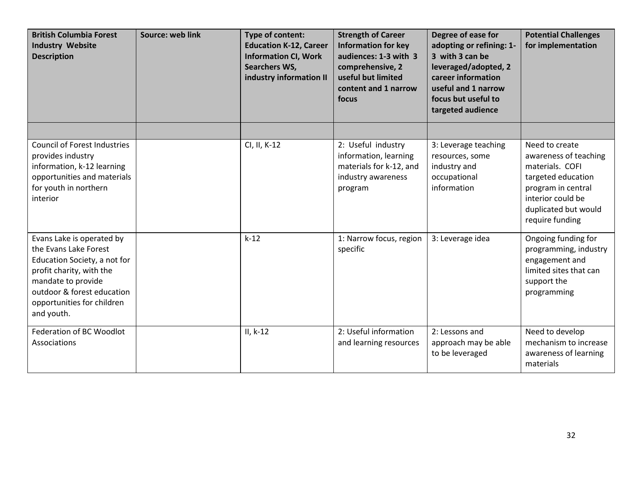| <b>British Columbia Forest</b><br><b>Industry Website</b><br><b>Description</b>                                                                                                                                | Source: web link | Type of content:<br><b>Education K-12, Career</b><br><b>Information CI, Work</b><br>Searchers WS,<br>industry information II | <b>Strength of Career</b><br><b>Information for key</b><br>audiences: 1-3 with 3<br>comprehensive, 2<br>useful but limited<br>content and 1 narrow<br>focus | Degree of ease for<br>adopting or refining: 1-<br>3 with 3 can be<br>leveraged/adopted, 2<br>career information<br>useful and 1 narrow<br>focus but useful to<br>targeted audience | <b>Potential Challenges</b><br>for implementation                                                                                                                      |
|----------------------------------------------------------------------------------------------------------------------------------------------------------------------------------------------------------------|------------------|------------------------------------------------------------------------------------------------------------------------------|-------------------------------------------------------------------------------------------------------------------------------------------------------------|------------------------------------------------------------------------------------------------------------------------------------------------------------------------------------|------------------------------------------------------------------------------------------------------------------------------------------------------------------------|
|                                                                                                                                                                                                                |                  |                                                                                                                              |                                                                                                                                                             |                                                                                                                                                                                    |                                                                                                                                                                        |
| <b>Council of Forest Industries</b><br>provides industry<br>information, k-12 learning<br>opportunities and materials<br>for youth in northern<br>interior                                                     |                  | CI, II, K-12                                                                                                                 | 2: Useful industry<br>information, learning<br>materials for k-12, and<br>industry awareness<br>program                                                     | 3: Leverage teaching<br>resources, some<br>industry and<br>occupational<br>information                                                                                             | Need to create<br>awareness of teaching<br>materials. COFI<br>targeted education<br>program in central<br>interior could be<br>duplicated but would<br>require funding |
| Evans Lake is operated by<br>the Evans Lake Forest<br>Education Society, a not for<br>profit charity, with the<br>mandate to provide<br>outdoor & forest education<br>opportunities for children<br>and youth. |                  | $k-12$                                                                                                                       | 1: Narrow focus, region<br>specific                                                                                                                         | 3: Leverage idea                                                                                                                                                                   | Ongoing funding for<br>programming, industry<br>engagement and<br>limited sites that can<br>support the<br>programming                                                 |
| Federation of BC Woodlot<br>Associations                                                                                                                                                                       |                  | $II, k-12$                                                                                                                   | 2: Useful information<br>and learning resources                                                                                                             | 2: Lessons and<br>approach may be able<br>to be leveraged                                                                                                                          | Need to develop<br>mechanism to increase<br>awareness of learning<br>materials                                                                                         |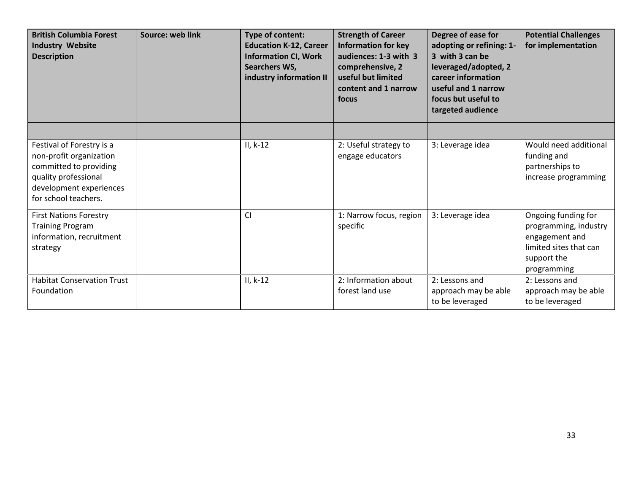| <b>British Columbia Forest</b><br><b>Industry Website</b><br><b>Description</b>                                                                           | Source: web link | Type of content:<br><b>Education K-12, Career</b><br><b>Information CI, Work</b><br>Searchers WS,<br>industry information II | <b>Strength of Career</b><br><b>Information for key</b><br>audiences: 1-3 with 3<br>comprehensive, 2<br>useful but limited<br>content and 1 narrow<br>focus | Degree of ease for<br>adopting or refining: 1-<br>3 with 3 can be<br>leveraged/adopted, 2<br>career information<br>useful and 1 narrow<br>focus but useful to<br>targeted audience | <b>Potential Challenges</b><br>for implementation                                                                      |
|-----------------------------------------------------------------------------------------------------------------------------------------------------------|------------------|------------------------------------------------------------------------------------------------------------------------------|-------------------------------------------------------------------------------------------------------------------------------------------------------------|------------------------------------------------------------------------------------------------------------------------------------------------------------------------------------|------------------------------------------------------------------------------------------------------------------------|
|                                                                                                                                                           |                  |                                                                                                                              |                                                                                                                                                             |                                                                                                                                                                                    |                                                                                                                        |
| Festival of Forestry is a<br>non-profit organization<br>committed to providing<br>quality professional<br>development experiences<br>for school teachers. |                  | $II, k-12$                                                                                                                   | 2: Useful strategy to<br>engage educators                                                                                                                   | 3: Leverage idea                                                                                                                                                                   | Would need additional<br>funding and<br>partnerships to<br>increase programming                                        |
| <b>First Nations Forestry</b><br><b>Training Program</b><br>information, recruitment<br>strategy                                                          |                  | <b>CI</b>                                                                                                                    | 1: Narrow focus, region<br>specific                                                                                                                         | 3: Leverage idea                                                                                                                                                                   | Ongoing funding for<br>programming, industry<br>engagement and<br>limited sites that can<br>support the<br>programming |
| <b>Habitat Conservation Trust</b><br>Foundation                                                                                                           |                  | $II, k-12$                                                                                                                   | 2: Information about<br>forest land use                                                                                                                     | 2: Lessons and<br>approach may be able<br>to be leveraged                                                                                                                          | 2: Lessons and<br>approach may be able<br>to be leveraged                                                              |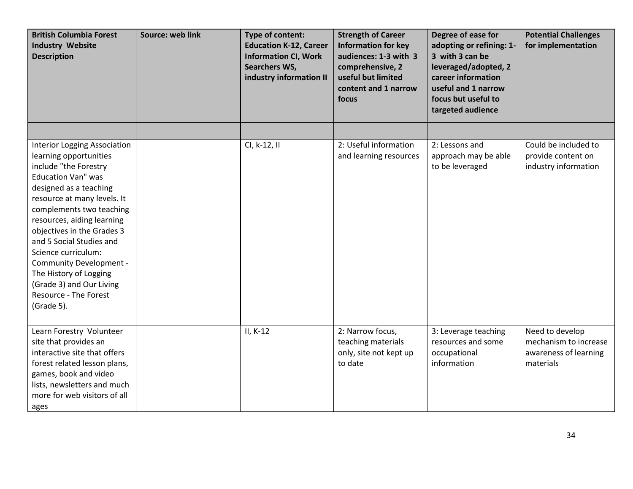| <b>British Columbia Forest</b><br><b>Industry Website</b><br><b>Description</b>                                                                                                                                                                                                                                                                                                                                                                 | Source: web link | Type of content:<br><b>Education K-12, Career</b><br><b>Information CI, Work</b><br>Searchers WS,<br>industry information II | <b>Strength of Career</b><br><b>Information for key</b><br>audiences: 1-3 with 3<br>comprehensive, 2<br>useful but limited<br>content and 1 narrow<br>focus | Degree of ease for<br>adopting or refining: 1-<br>3 with 3 can be<br>leveraged/adopted, 2<br>career information<br>useful and 1 narrow<br>focus but useful to<br>targeted audience | <b>Potential Challenges</b><br>for implementation                              |
|-------------------------------------------------------------------------------------------------------------------------------------------------------------------------------------------------------------------------------------------------------------------------------------------------------------------------------------------------------------------------------------------------------------------------------------------------|------------------|------------------------------------------------------------------------------------------------------------------------------|-------------------------------------------------------------------------------------------------------------------------------------------------------------|------------------------------------------------------------------------------------------------------------------------------------------------------------------------------------|--------------------------------------------------------------------------------|
|                                                                                                                                                                                                                                                                                                                                                                                                                                                 |                  |                                                                                                                              |                                                                                                                                                             |                                                                                                                                                                                    |                                                                                |
| <b>Interior Logging Association</b><br>learning opportunities<br>include "the Forestry<br><b>Education Van" was</b><br>designed as a teaching<br>resource at many levels. It<br>complements two teaching<br>resources, aiding learning<br>objectives in the Grades 3<br>and 5 Social Studies and<br>Science curriculum:<br>Community Development -<br>The History of Logging<br>(Grade 3) and Our Living<br>Resource - The Forest<br>(Grade 5). |                  | CI, k-12, II                                                                                                                 | 2: Useful information<br>and learning resources                                                                                                             | 2: Lessons and<br>approach may be able<br>to be leveraged                                                                                                                          | Could be included to<br>provide content on<br>industry information             |
| Learn Forestry Volunteer<br>site that provides an<br>interactive site that offers<br>forest related lesson plans,<br>games, book and video<br>lists, newsletters and much<br>more for web visitors of all<br>ages                                                                                                                                                                                                                               |                  | $II, K-12$                                                                                                                   | 2: Narrow focus,<br>teaching materials<br>only, site not kept up<br>to date                                                                                 | 3: Leverage teaching<br>resources and some<br>occupational<br>information                                                                                                          | Need to develop<br>mechanism to increase<br>awareness of learning<br>materials |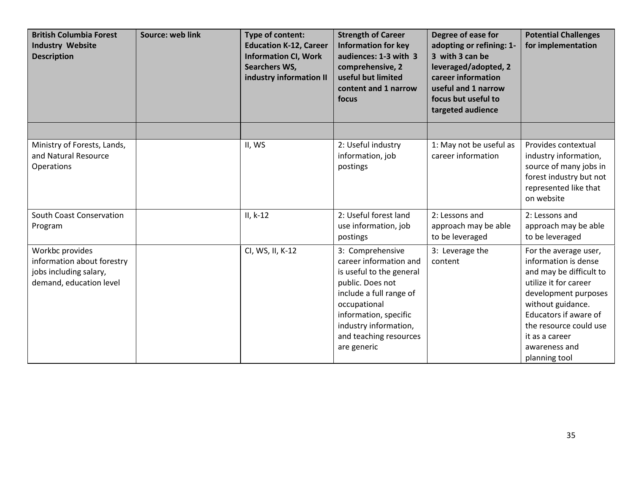| <b>British Columbia Forest</b><br><b>Industry Website</b><br><b>Description</b>                    | Source: web link | Type of content:<br><b>Education K-12, Career</b><br><b>Information CI, Work</b><br>Searchers WS,<br>industry information II | <b>Strength of Career</b><br><b>Information for key</b><br>audiences: 1-3 with 3<br>comprehensive, 2<br>useful but limited<br>content and 1 narrow<br>focus                                                                      | Degree of ease for<br>adopting or refining: 1-<br>3 with 3 can be<br>leveraged/adopted, 2<br>career information<br>useful and 1 narrow<br>focus but useful to<br>targeted audience | <b>Potential Challenges</b><br>for implementation                                                                                                                                                                                                     |
|----------------------------------------------------------------------------------------------------|------------------|------------------------------------------------------------------------------------------------------------------------------|----------------------------------------------------------------------------------------------------------------------------------------------------------------------------------------------------------------------------------|------------------------------------------------------------------------------------------------------------------------------------------------------------------------------------|-------------------------------------------------------------------------------------------------------------------------------------------------------------------------------------------------------------------------------------------------------|
|                                                                                                    |                  |                                                                                                                              |                                                                                                                                                                                                                                  |                                                                                                                                                                                    |                                                                                                                                                                                                                                                       |
| Ministry of Forests, Lands,<br>and Natural Resource<br>Operations                                  |                  | II, WS                                                                                                                       | 2: Useful industry<br>information, job<br>postings                                                                                                                                                                               | 1: May not be useful as<br>career information                                                                                                                                      | Provides contextual<br>industry information,<br>source of many jobs in<br>forest industry but not<br>represented like that<br>on website                                                                                                              |
| <b>South Coast Conservation</b><br>Program                                                         |                  | $II, k-12$                                                                                                                   | 2: Useful forest land<br>use information, job<br>postings                                                                                                                                                                        | 2: Lessons and<br>approach may be able<br>to be leveraged                                                                                                                          | 2: Lessons and<br>approach may be able<br>to be leveraged                                                                                                                                                                                             |
| Workbc provides<br>information about forestry<br>jobs including salary,<br>demand, education level |                  | CI, WS, II, K-12                                                                                                             | 3: Comprehensive<br>career information and<br>is useful to the general<br>public. Does not<br>include a full range of<br>occupational<br>information, specific<br>industry information,<br>and teaching resources<br>are generic | 3: Leverage the<br>content                                                                                                                                                         | For the average user,<br>information is dense<br>and may be difficult to<br>utilize it for career<br>development purposes<br>without guidance.<br>Educators if aware of<br>the resource could use<br>it as a career<br>awareness and<br>planning tool |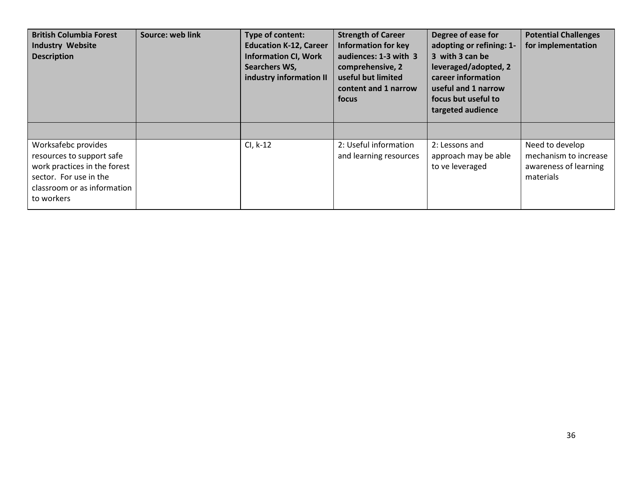| <b>British Columbia Forest</b><br><b>Industry Website</b><br><b>Description</b>                                                                         | Source: web link | Type of content:<br><b>Education K-12, Career</b><br><b>Information CI, Work</b><br>Searchers WS,<br>industry information II | <b>Strength of Career</b><br><b>Information for key</b><br>audiences: 1-3 with 3<br>comprehensive, 2<br>useful but limited<br>content and 1 narrow<br>focus | Degree of ease for<br>adopting or refining: 1-<br>3 with 3 can be<br>leveraged/adopted, 2<br>career information<br>useful and 1 narrow<br>focus but useful to<br>targeted audience | <b>Potential Challenges</b><br>for implementation                              |
|---------------------------------------------------------------------------------------------------------------------------------------------------------|------------------|------------------------------------------------------------------------------------------------------------------------------|-------------------------------------------------------------------------------------------------------------------------------------------------------------|------------------------------------------------------------------------------------------------------------------------------------------------------------------------------------|--------------------------------------------------------------------------------|
|                                                                                                                                                         |                  |                                                                                                                              |                                                                                                                                                             |                                                                                                                                                                                    |                                                                                |
| Worksafebc provides<br>resources to support safe<br>work practices in the forest<br>sector. For use in the<br>classroom or as information<br>to workers |                  | CI, k-12                                                                                                                     | 2: Useful information<br>and learning resources                                                                                                             | 2: Lessons and<br>approach may be able<br>to ve leveraged                                                                                                                          | Need to develop<br>mechanism to increase<br>awareness of learning<br>materials |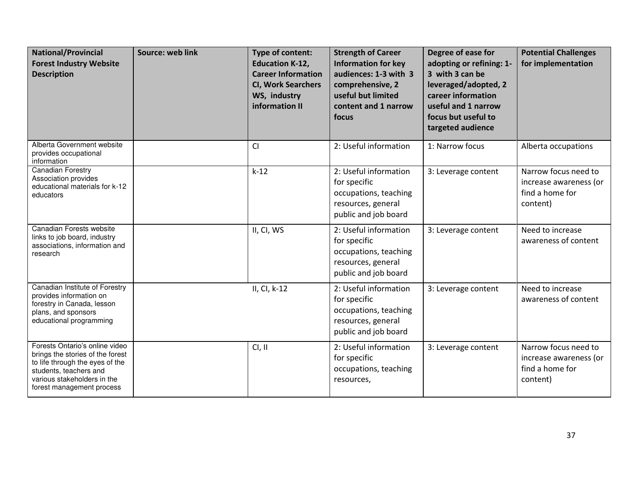<span id="page-37-0"></span>

| <b>National/Provincial</b><br><b>Forest Industry Website</b><br><b>Description</b>                                                                                                          | <b>Source: web link</b> | <b>Type of content:</b><br><b>Education K-12,</b><br><b>Career Information</b><br><b>CI, Work Searchers</b><br>WS, industry<br>information II | <b>Strength of Career</b><br><b>Information for key</b><br>audiences: 1-3 with 3<br>comprehensive, 2<br>useful but limited<br>content and 1 narrow<br>focus | Degree of ease for<br>adopting or refining: 1-<br>3 with 3 can be<br>leveraged/adopted, 2<br>career information<br>useful and 1 narrow<br>focus but useful to<br>targeted audience | <b>Potential Challenges</b><br>for implementation                             |
|---------------------------------------------------------------------------------------------------------------------------------------------------------------------------------------------|-------------------------|-----------------------------------------------------------------------------------------------------------------------------------------------|-------------------------------------------------------------------------------------------------------------------------------------------------------------|------------------------------------------------------------------------------------------------------------------------------------------------------------------------------------|-------------------------------------------------------------------------------|
| Alberta Government website<br>provides occupational<br>information                                                                                                                          |                         | CI                                                                                                                                            | 2: Useful information                                                                                                                                       | 1: Narrow focus                                                                                                                                                                    | Alberta occupations                                                           |
| <b>Canadian Forestry</b><br>Association provides<br>educational materials for k-12<br>educators                                                                                             |                         | $k-12$                                                                                                                                        | 2: Useful information<br>for specific<br>occupations, teaching<br>resources, general<br>public and job board                                                | 3: Leverage content                                                                                                                                                                | Narrow focus need to<br>increase awareness (or<br>find a home for<br>content) |
| Canadian Forests website<br>links to job board, industry<br>associations, information and<br>research                                                                                       |                         | II, CI, WS                                                                                                                                    | 2: Useful information<br>for specific<br>occupations, teaching<br>resources, general<br>public and job board                                                | 3: Leverage content                                                                                                                                                                | Need to increase<br>awareness of content                                      |
| Canadian Institute of Forestry<br>provides information on<br>forestry in Canada, lesson<br>plans, and sponsors<br>educational programming                                                   |                         | II, CI, k-12                                                                                                                                  | 2: Useful information<br>for specific<br>occupations, teaching<br>resources, general<br>public and job board                                                | 3: Leverage content                                                                                                                                                                | Need to increase<br>awareness of content                                      |
| Forests Ontario's online video<br>brings the stories of the forest<br>to life through the eyes of the<br>students, teachers and<br>various stakeholders in the<br>forest management process |                         | CI, II                                                                                                                                        | 2: Useful information<br>for specific<br>occupations, teaching<br>resources,                                                                                | 3: Leverage content                                                                                                                                                                | Narrow focus need to<br>increase awareness (or<br>find a home for<br>content) |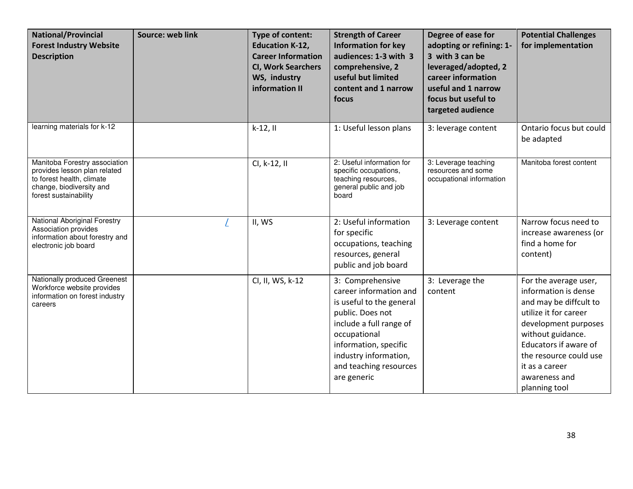| <b>National/Provincial</b><br><b>Forest Industry Website</b><br><b>Description</b>                                                              | <b>Source: web link</b> | Type of content:<br><b>Education K-12,</b><br><b>Career Information</b><br><b>CI, Work Searchers</b><br>WS, industry<br>information II | <b>Strength of Career</b><br><b>Information for key</b><br>audiences: 1-3 with 3<br>comprehensive, 2<br>useful but limited<br>content and 1 narrow<br>focus                                                                      | Degree of ease for<br>adopting or refining: 1-<br>3 with 3 can be<br>leveraged/adopted, 2<br>career information<br>useful and 1 narrow<br>focus but useful to<br>targeted audience | <b>Potential Challenges</b><br>for implementation                                                                                                                                                                                                    |
|-------------------------------------------------------------------------------------------------------------------------------------------------|-------------------------|----------------------------------------------------------------------------------------------------------------------------------------|----------------------------------------------------------------------------------------------------------------------------------------------------------------------------------------------------------------------------------|------------------------------------------------------------------------------------------------------------------------------------------------------------------------------------|------------------------------------------------------------------------------------------------------------------------------------------------------------------------------------------------------------------------------------------------------|
| learning materials for k-12                                                                                                                     |                         | $k-12,11$                                                                                                                              | 1: Useful lesson plans                                                                                                                                                                                                           | 3: leverage content                                                                                                                                                                | Ontario focus but could<br>be adapted                                                                                                                                                                                                                |
| Manitoba Forestry association<br>provides lesson plan related<br>to forest health, climate<br>change, biodiversity and<br>forest sustainability |                         | CI, k-12, II                                                                                                                           | 2: Useful information for<br>specific occupations,<br>teaching resources,<br>general public and job<br>board                                                                                                                     | 3: Leverage teaching<br>resources and some<br>occupational information                                                                                                             | Manitoba forest content                                                                                                                                                                                                                              |
| National Aboriginal Forestry<br>Association provides<br>information about forestry and<br>electronic job board                                  |                         | II, WS                                                                                                                                 | 2: Useful information<br>for specific<br>occupations, teaching<br>resources, general<br>public and job board                                                                                                                     | 3: Leverage content                                                                                                                                                                | Narrow focus need to<br>increase awareness (or<br>find a home for<br>content)                                                                                                                                                                        |
| Nationally produced Greenest<br>Workforce website provides<br>information on forest industry<br>careers                                         |                         | CI, II, WS, k-12                                                                                                                       | 3: Comprehensive<br>career information and<br>is useful to the general<br>public. Does not<br>include a full range of<br>occupational<br>information, specific<br>industry information,<br>and teaching resources<br>are generic | 3: Leverage the<br>content                                                                                                                                                         | For the average user,<br>information is dense<br>and may be diffcult to<br>utilize it for career<br>development purposes<br>without guidance.<br>Educators if aware of<br>the resource could use<br>it as a career<br>awareness and<br>planning tool |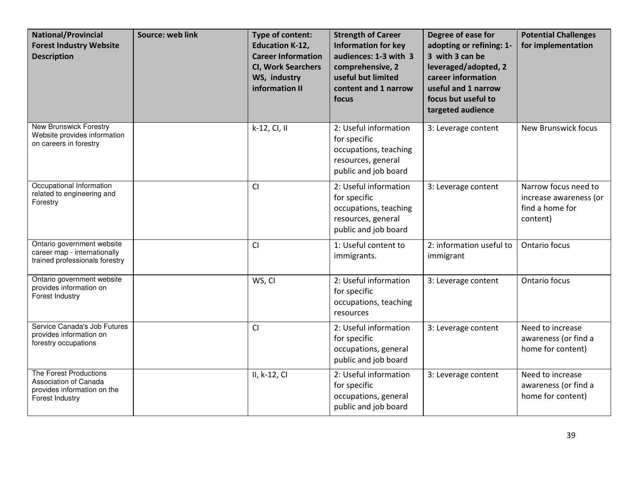| <b>National/Provincial</b><br><b>Forest Industry Website</b><br><b>Description</b>                | Source: web link | Type of content:<br><b>Education K-12,</b><br><b>Career Information</b><br><b>CI, Work Searchers</b><br>WS, industry<br>information II | <b>Strength of Career</b><br><b>Information for key</b><br>audiences: 1-3 with 3<br>comprehensive, 2<br>useful but limited<br>content and 1 narrow<br>focus | Degree of ease for<br>adopting or refining: 1-<br>3 with 3 can be<br>leveraged/adopted, 2<br>career information<br>useful and 1 narrow<br>focus but useful to<br>targeted audience | <b>Potential Challenges</b><br>for implementation                             |
|---------------------------------------------------------------------------------------------------|------------------|----------------------------------------------------------------------------------------------------------------------------------------|-------------------------------------------------------------------------------------------------------------------------------------------------------------|------------------------------------------------------------------------------------------------------------------------------------------------------------------------------------|-------------------------------------------------------------------------------|
| New Brunswick Forestry<br>Website provides information<br>on careers in forestry                  |                  | k-12, CI, II                                                                                                                           | 2: Useful information<br>for specific<br>occupations, teaching<br>resources, general<br>public and job board                                                | 3: Leverage content                                                                                                                                                                | New Brunswick focus                                                           |
| Occupational Information<br>related to engineering and<br>Forestry                                |                  | CI                                                                                                                                     | 2: Useful information<br>for specific<br>occupations, teaching<br>resources, general<br>public and job board                                                | 3: Leverage content                                                                                                                                                                | Narrow focus need to<br>increase awareness (or<br>find a home for<br>content) |
| Ontario government website<br>career map - internationally<br>trained professionals forestry      |                  | <b>CI</b>                                                                                                                              | 1: Useful content to<br>immigrants.                                                                                                                         | 2: information useful to<br>immigrant                                                                                                                                              | Ontario focus                                                                 |
| Ontario government website<br>provides information on<br>Forest Industry                          |                  | WS, CI                                                                                                                                 | 2: Useful information<br>for specific<br>occupations, teaching<br>resources                                                                                 | 3: Leverage content                                                                                                                                                                | Ontario focus                                                                 |
| Service Canada's Job Futures<br>provides information on<br>forestry occupations                   |                  | CI                                                                                                                                     | 2: Useful information<br>for specific<br>occupations, general<br>public and job board                                                                       | 3: Leverage content                                                                                                                                                                | Need to increase<br>awareness (or find a<br>home for content)                 |
| The Forest Productions<br>Association of Canada<br>provides information on the<br>Forest Industry |                  | II, k-12, CI                                                                                                                           | 2: Useful information<br>for specific<br>occupations, general<br>public and job board                                                                       | 3: Leverage content                                                                                                                                                                | Need to increase<br>awareness (or find a<br>home for content)                 |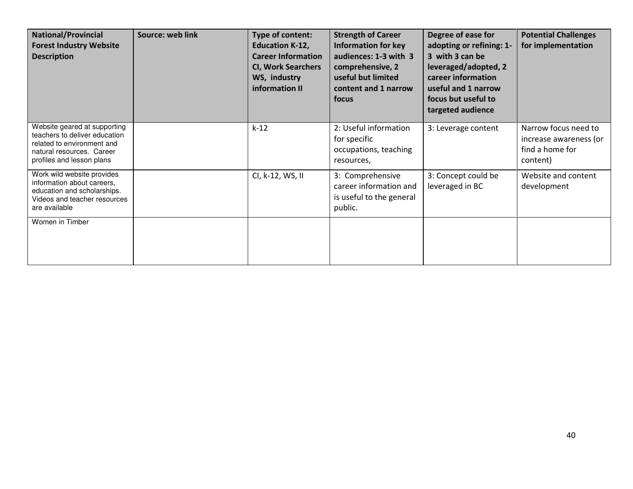| <b>National/Provincial</b><br><b>Forest Industry Website</b><br><b>Description</b>                                                                    | Source: web link | Type of content:<br><b>Education K-12,</b><br><b>Career Information</b><br><b>CI, Work Searchers</b><br>WS, industry<br>information II | <b>Strength of Career</b><br><b>Information for key</b><br>audiences: 1-3 with 3<br>comprehensive, 2<br>useful but limited<br>content and 1 narrow<br>focus | Degree of ease for<br>adopting or refining: 1-<br>3 with 3 can be<br>leveraged/adopted, 2<br>career information<br>useful and 1 narrow<br>focus but useful to<br>targeted audience | <b>Potential Challenges</b><br>for implementation                             |
|-------------------------------------------------------------------------------------------------------------------------------------------------------|------------------|----------------------------------------------------------------------------------------------------------------------------------------|-------------------------------------------------------------------------------------------------------------------------------------------------------------|------------------------------------------------------------------------------------------------------------------------------------------------------------------------------------|-------------------------------------------------------------------------------|
| Website geared at supporting<br>teachers to deliver education<br>related to environment and<br>natural resources. Career<br>profiles and lesson plans |                  | $k-12$                                                                                                                                 | 2: Useful information<br>for specific<br>occupations, teaching<br>resources,                                                                                | 3: Leverage content                                                                                                                                                                | Narrow focus need to<br>increase awareness (or<br>find a home for<br>content) |
| Work wild website provides<br>information about careers,<br>education and scholarships.<br>Videos and teacher resources<br>are available              |                  | CI, k-12, WS, II                                                                                                                       | 3: Comprehensive<br>career information and<br>is useful to the general<br>public.                                                                           | 3: Concept could be<br>leveraged in BC                                                                                                                                             | Website and content<br>development                                            |
| Women in Timber                                                                                                                                       |                  |                                                                                                                                        |                                                                                                                                                             |                                                                                                                                                                                    |                                                                               |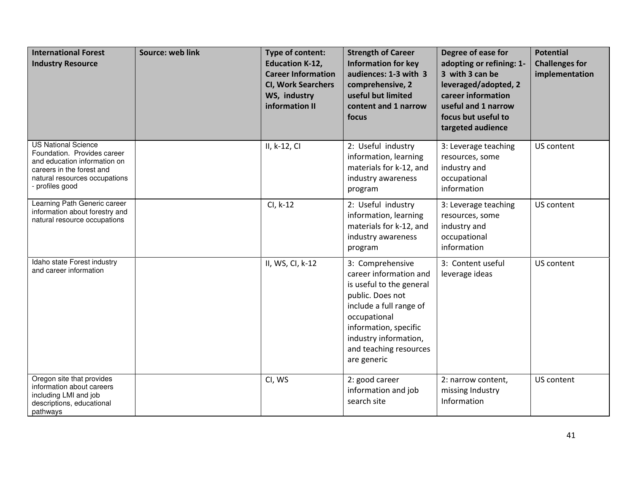<span id="page-41-0"></span>

| <b>International Forest</b><br><b>Industry Resource</b>                                                                                                                  | Source: web link | Type of content:<br><b>Education K-12,</b><br><b>Career Information</b><br><b>CI, Work Searchers</b><br>WS, industry<br>information II | <b>Strength of Career</b><br><b>Information for key</b><br>audiences: 1-3 with 3<br>comprehensive, 2<br>useful but limited<br>content and 1 narrow<br>focus                                                                      | Degree of ease for<br>adopting or refining: 1-<br>3 with 3 can be<br>leveraged/adopted, 2<br>career information<br>useful and 1 narrow<br>focus but useful to<br>targeted audience | <b>Potential</b><br><b>Challenges for</b><br>implementation |
|--------------------------------------------------------------------------------------------------------------------------------------------------------------------------|------------------|----------------------------------------------------------------------------------------------------------------------------------------|----------------------------------------------------------------------------------------------------------------------------------------------------------------------------------------------------------------------------------|------------------------------------------------------------------------------------------------------------------------------------------------------------------------------------|-------------------------------------------------------------|
| <b>US National Science</b><br>Foundation. Provides career<br>and education information on<br>careers in the forest and<br>natural resources occupations<br>profiles good |                  | II, k-12, CI                                                                                                                           | 2: Useful industry<br>information, learning<br>materials for k-12, and<br>industry awareness<br>program                                                                                                                          | 3: Leverage teaching<br>resources, some<br>industry and<br>occupational<br>information                                                                                             | US content                                                  |
| Learning Path Generic career<br>information about forestry and<br>natural resource occupations                                                                           |                  | $Cl, k-12$                                                                                                                             | 2: Useful industry<br>information, learning<br>materials for k-12, and<br>industry awareness<br>program                                                                                                                          | 3: Leverage teaching<br>resources, some<br>industry and<br>occupational<br>information                                                                                             | US content                                                  |
| Idaho state Forest industry<br>and career information                                                                                                                    |                  | II, WS, CI, k-12                                                                                                                       | 3: Comprehensive<br>career information and<br>is useful to the general<br>public. Does not<br>include a full range of<br>occupational<br>information, specific<br>industry information,<br>and teaching resources<br>are generic | 3: Content useful<br>leverage ideas                                                                                                                                                | US content                                                  |
| Oregon site that provides<br>information about careers<br>including LMI and job<br>descriptions, educational<br>pathways                                                 |                  | CI, WS                                                                                                                                 | 2: good career<br>information and job<br>search site                                                                                                                                                                             | 2: narrow content,<br>missing Industry<br>Information                                                                                                                              | US content                                                  |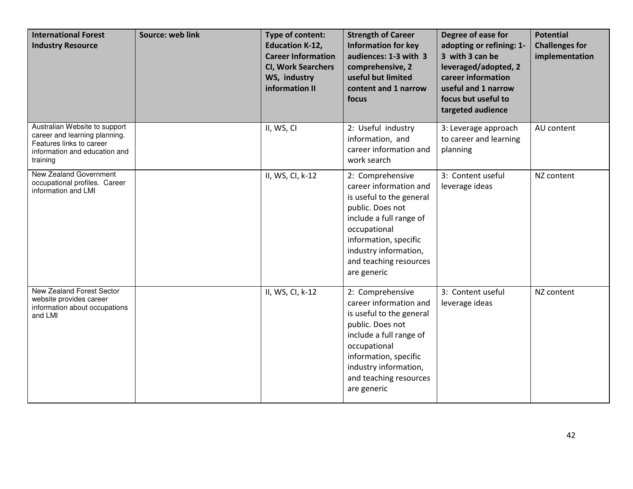| <b>International Forest</b><br><b>Industry Resource</b>                                                                                 | Source: web link | <b>Type of content:</b><br><b>Education K-12,</b><br><b>Career Information</b><br><b>CI, Work Searchers</b><br>WS, industry<br>information II | <b>Strength of Career</b><br><b>Information for key</b><br>audiences: 1-3 with 3<br>comprehensive, 2<br>useful but limited<br>content and 1 narrow<br>focus                                                                      | Degree of ease for<br>adopting or refining: 1-<br>3 with 3 can be<br>leveraged/adopted, 2<br>career information<br>useful and 1 narrow<br>focus but useful to<br>targeted audience | <b>Potential</b><br><b>Challenges for</b><br>implementation |
|-----------------------------------------------------------------------------------------------------------------------------------------|------------------|-----------------------------------------------------------------------------------------------------------------------------------------------|----------------------------------------------------------------------------------------------------------------------------------------------------------------------------------------------------------------------------------|------------------------------------------------------------------------------------------------------------------------------------------------------------------------------------|-------------------------------------------------------------|
| Australian Website to support<br>career and learning planning.<br>Features links to career<br>information and education and<br>training |                  | II, WS, CI                                                                                                                                    | 2: Useful industry<br>information, and<br>career information and<br>work search                                                                                                                                                  | 3: Leverage approach<br>to career and learning<br>planning                                                                                                                         | AU content                                                  |
| New Zealand Government<br>occupational profiles. Career<br>information and LMI                                                          |                  | II, WS, CI, k-12                                                                                                                              | 2: Comprehensive<br>career information and<br>is useful to the general<br>public. Does not<br>include a full range of<br>occupational<br>information, specific<br>industry information,<br>and teaching resources<br>are generic | 3: Content useful<br>leverage ideas                                                                                                                                                | NZ content                                                  |
| New Zealand Forest Sector<br>website provides career<br>information about occupations<br>and LMI                                        |                  | II, WS, CI, k-12                                                                                                                              | 2: Comprehensive<br>career information and<br>is useful to the general<br>public. Does not<br>include a full range of<br>occupational<br>information, specific<br>industry information,<br>and teaching resources<br>are generic | 3: Content useful<br>leverage ideas                                                                                                                                                | NZ content                                                  |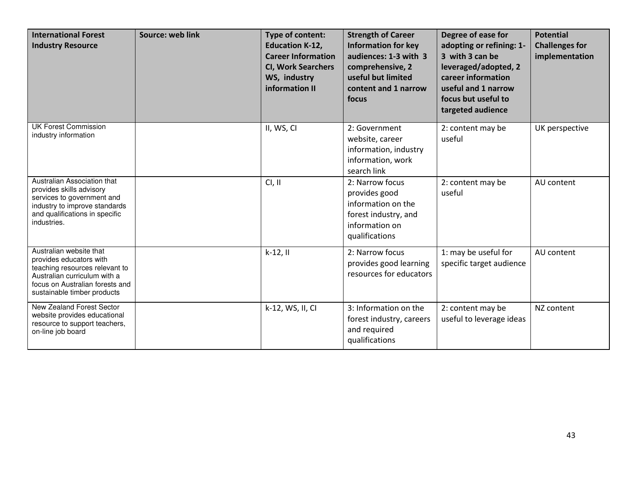| <b>International Forest</b><br><b>Industry Resource</b>                                                                                                                                | Source: web link | Type of content:<br><b>Education K-12,</b><br><b>Career Information</b><br><b>CI, Work Searchers</b><br>WS, industry<br>information II | <b>Strength of Career</b><br><b>Information for key</b><br>audiences: 1-3 with 3<br>comprehensive, 2<br>useful but limited<br>content and 1 narrow<br>focus | Degree of ease for<br>adopting or refining: 1-<br>3 with 3 can be<br>leveraged/adopted, 2<br>career information<br>useful and 1 narrow<br>focus but useful to<br>targeted audience | <b>Potential</b><br><b>Challenges for</b><br>implementation |
|----------------------------------------------------------------------------------------------------------------------------------------------------------------------------------------|------------------|----------------------------------------------------------------------------------------------------------------------------------------|-------------------------------------------------------------------------------------------------------------------------------------------------------------|------------------------------------------------------------------------------------------------------------------------------------------------------------------------------------|-------------------------------------------------------------|
| <b>UK Forest Commission</b><br>industry information                                                                                                                                    |                  | II, WS, CI                                                                                                                             | 2: Government<br>website, career<br>information, industry<br>information, work<br>search link                                                               | 2: content may be<br>useful                                                                                                                                                        | UK perspective                                              |
| Australian Association that<br>provides skills advisory<br>services to government and<br>industry to improve standards<br>and qualifications in specific<br>industries.                |                  | Cl, II                                                                                                                                 | 2: Narrow focus<br>provides good<br>information on the<br>forest industry, and<br>information on<br>qualifications                                          | 2: content may be<br>useful                                                                                                                                                        | AU content                                                  |
| Australian website that<br>provides educators with<br>teaching resources relevant to<br>Australian curriculum with a<br>focus on Australian forests and<br>sustainable timber products |                  | $k-12,$ II                                                                                                                             | 2: Narrow focus<br>provides good learning<br>resources for educators                                                                                        | 1: may be useful for<br>specific target audience                                                                                                                                   | AU content                                                  |
| New Zealand Forest Sector<br>website provides educational<br>resource to support teachers,<br>on-line job board                                                                        |                  | k-12, WS, II, CI                                                                                                                       | 3: Information on the<br>forest industry, careers<br>and required<br>qualifications                                                                         | 2: content may be<br>useful to leverage ideas                                                                                                                                      | NZ content                                                  |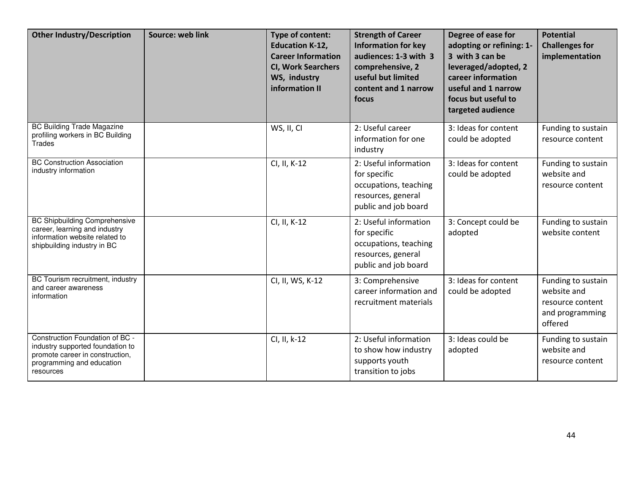<span id="page-44-0"></span>

| <b>Other Industry/Description</b>                                                                                                                | Source: web link | Type of content:<br><b>Education K-12,</b><br><b>Career Information</b><br><b>CI, Work Searchers</b><br>WS, industry<br>information II | <b>Strength of Career</b><br><b>Information for key</b><br>audiences: 1-3 with 3<br>comprehensive, 2<br>useful but limited<br>content and 1 narrow<br>focus | Degree of ease for<br>adopting or refining: 1-<br>3 with 3 can be<br>leveraged/adopted, 2<br>career information<br>useful and 1 narrow<br>focus but useful to<br>targeted audience | <b>Potential</b><br><b>Challenges for</b><br>implementation                         |
|--------------------------------------------------------------------------------------------------------------------------------------------------|------------------|----------------------------------------------------------------------------------------------------------------------------------------|-------------------------------------------------------------------------------------------------------------------------------------------------------------|------------------------------------------------------------------------------------------------------------------------------------------------------------------------------------|-------------------------------------------------------------------------------------|
| <b>BC Building Trade Magazine</b><br>profiling workers in BC Building<br><b>Trades</b>                                                           |                  | WS, II, CI                                                                                                                             | 2: Useful career<br>information for one<br>industry                                                                                                         | 3: Ideas for content<br>could be adopted                                                                                                                                           | Funding to sustain<br>resource content                                              |
| <b>BC Construction Association</b><br>industry information                                                                                       |                  | CI, II, K-12                                                                                                                           | 2: Useful information<br>for specific<br>occupations, teaching<br>resources, general<br>public and job board                                                | 3: Ideas for content<br>could be adopted                                                                                                                                           | Funding to sustain<br>website and<br>resource content                               |
| <b>BC Shipbuilding Comprehensive</b><br>career, learning and industry<br>information website related to<br>shipbuilding industry in BC           |                  | CI, II, K-12                                                                                                                           | 2: Useful information<br>for specific<br>occupations, teaching<br>resources, general<br>public and job board                                                | 3: Concept could be<br>adopted                                                                                                                                                     | Funding to sustain<br>website content                                               |
| BC Tourism recruitment, industry<br>and career awareness<br>information                                                                          |                  | CI, II, WS, K-12                                                                                                                       | 3: Comprehensive<br>career information and<br>recruitment materials                                                                                         | 3: Ideas for content<br>could be adopted                                                                                                                                           | Funding to sustain<br>website and<br>resource content<br>and programming<br>offered |
| Construction Foundation of BC -<br>industry supported foundation to<br>promote career in construction,<br>programming and education<br>resources |                  | CI, II, k-12                                                                                                                           | 2: Useful information<br>to show how industry<br>supports youth<br>transition to jobs                                                                       | 3: Ideas could be<br>adopted                                                                                                                                                       | Funding to sustain<br>website and<br>resource content                               |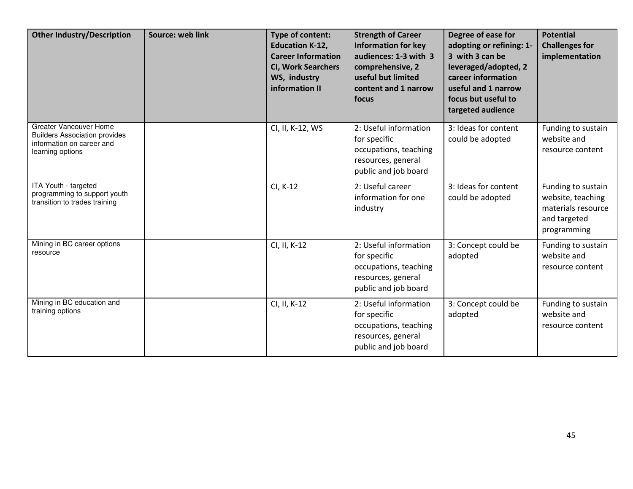| <b>Other Industry/Description</b>                                                                               | Source: web link | <b>Type of content:</b><br><b>Education K-12,</b><br><b>Career Information</b><br><b>CI, Work Searchers</b><br>WS, industry<br>information II | <b>Strength of Career</b><br><b>Information for key</b><br>audiences: 1-3 with 3<br>comprehensive, 2<br>useful but limited<br>content and 1 narrow<br>focus | Degree of ease for<br>adopting or refining: 1-<br>3 with 3 can be<br>leveraged/adopted, 2<br>career information<br>useful and 1 narrow<br>focus but useful to<br>targeted audience | <b>Potential</b><br><b>Challenges for</b><br>implementation                                  |
|-----------------------------------------------------------------------------------------------------------------|------------------|-----------------------------------------------------------------------------------------------------------------------------------------------|-------------------------------------------------------------------------------------------------------------------------------------------------------------|------------------------------------------------------------------------------------------------------------------------------------------------------------------------------------|----------------------------------------------------------------------------------------------|
| Greater Vancouver Home<br><b>Builders Association provides</b><br>information on career and<br>learning options |                  | CI, II, K-12, WS                                                                                                                              | 2: Useful information<br>for specific<br>occupations, teaching<br>resources, general<br>public and job board                                                | 3: Ideas for content<br>could be adopted                                                                                                                                           | Funding to sustain<br>website and<br>resource content                                        |
| ITA Youth - targeted<br>programming to support youth<br>transition to trades training                           |                  | CI, K-12                                                                                                                                      | 2: Useful career<br>information for one<br>industry                                                                                                         | 3: Ideas for content<br>could be adopted                                                                                                                                           | Funding to sustain<br>website, teaching<br>materials resource<br>and targeted<br>programming |
| Mining in BC career options<br>resource                                                                         |                  | CI, II, K-12                                                                                                                                  | 2: Useful information<br>for specific<br>occupations, teaching<br>resources, general<br>public and job board                                                | 3: Concept could be<br>adopted                                                                                                                                                     | Funding to sustain<br>website and<br>resource content                                        |
| Mining in BC education and<br>training options                                                                  |                  | CI, II, K-12                                                                                                                                  | 2: Useful information<br>for specific<br>occupations, teaching<br>resources, general<br>public and job board                                                | 3: Concept could be<br>adopted                                                                                                                                                     | Funding to sustain<br>website and<br>resource content                                        |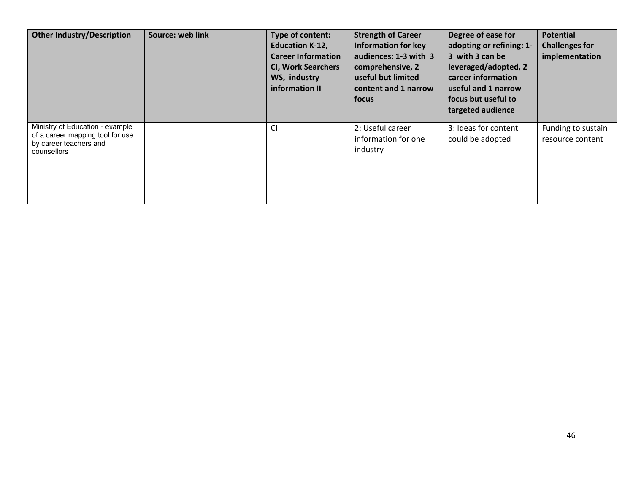| <b>Other Industry/Description</b>                                                                            | Source: web link | Type of content:<br><b>Education K-12,</b><br><b>Career Information</b><br><b>CI, Work Searchers</b><br>WS, industry<br>information II | <b>Strength of Career</b><br><b>Information for key</b><br>audiences: 1-3 with 3<br>comprehensive, 2<br>useful but limited<br>content and 1 narrow<br>focus | Degree of ease for<br>adopting or refining: 1-<br>3 with 3 can be<br>leveraged/adopted, 2<br>career information<br>useful and 1 narrow<br>focus but useful to<br>targeted audience | <b>Potential</b><br><b>Challenges for</b><br>implementation |
|--------------------------------------------------------------------------------------------------------------|------------------|----------------------------------------------------------------------------------------------------------------------------------------|-------------------------------------------------------------------------------------------------------------------------------------------------------------|------------------------------------------------------------------------------------------------------------------------------------------------------------------------------------|-------------------------------------------------------------|
| Ministry of Education - example<br>of a career mapping tool for use<br>by career teachers and<br>counsellors |                  | <b>CI</b>                                                                                                                              | 2: Useful career<br>information for one<br>industry                                                                                                         | 3: Ideas for content<br>could be adopted                                                                                                                                           | Funding to sustain<br>resource content                      |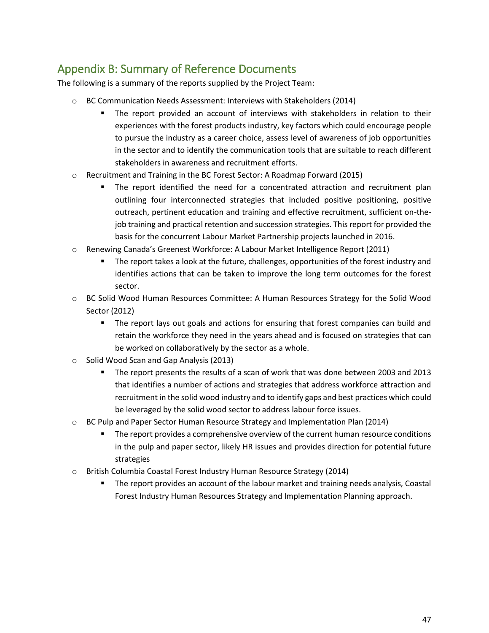### <span id="page-47-0"></span>Appendix B: Summary of Reference Documents

The following is a summary of the reports supplied by the Project Team:

- o BC Communication Needs Assessment: Interviews with Stakeholders (2014)
	- The report provided an account of interviews with stakeholders in relation to their experiences with the forest products industry, key factors which could encourage people to pursue the industry as a career choice, assess level of awareness of job opportunities in the sector and to identify the communication tools that are suitable to reach different stakeholders in awareness and recruitment efforts.
- o Recruitment and Training in the BC Forest Sector: A Roadmap Forward (2015)
	- The report identified the need for a concentrated attraction and recruitment plan outlining four interconnected strategies that included positive positioning, positive outreach, pertinent education and training and effective recruitment, sufficient on-thejob training and practical retention and succession strategies. This report for provided the basis for the concurrent Labour Market Partnership projects launched in 2016.
- o Renewing Canada's Greenest Workforce: A Labour Market Intelligence Report (2011)
	- The report takes a look at the future, challenges, opportunities of the forest industry and identifies actions that can be taken to improve the long term outcomes for the forest sector.
- o BC Solid Wood Human Resources Committee: A Human Resources Strategy for the Solid Wood Sector (2012)
	- The report lays out goals and actions for ensuring that forest companies can build and retain the workforce they need in the years ahead and is focused on strategies that can be worked on collaboratively by the sector as a whole.
- o Solid Wood Scan and Gap Analysis (2013)
	- The report presents the results of a scan of work that was done between 2003 and 2013 that identifies a number of actions and strategies that address workforce attraction and recruitment in the solid wood industry and to identify gaps and best practices which could be leveraged by the solid wood sector to address labour force issues.
- o BC Pulp and Paper Sector Human Resource Strategy and Implementation Plan (2014)
	- **The report provides a comprehensive overview of the current human resource conditions** in the pulp and paper sector, likely HR issues and provides direction for potential future strategies
- o British Columbia Coastal Forest Industry Human Resource Strategy (2014)
	- The report provides an account of the labour market and training needs analysis, Coastal Forest Industry Human Resources Strategy and Implementation Planning approach.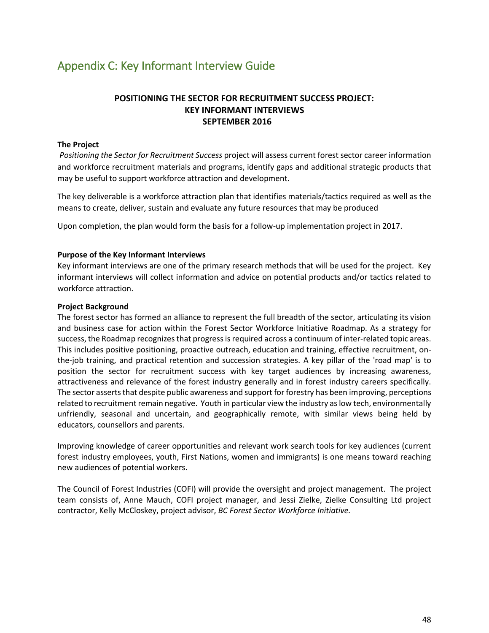### <span id="page-48-0"></span>Appendix C: Key Informant Interview Guide

#### **POSITIONING THE SECTOR FOR RECRUITMENT SUCCESS PROJECT: KEY INFORMANT INTERVIEWS SEPTEMBER 2016**

#### **The Project**

 *Positioning the Sector for Recruitment Success* project will assess current forest sector career information and workforce recruitment materials and programs, identify gaps and additional strategic products that may be useful to support workforce attraction and development.

The key deliverable is a workforce attraction plan that identifies materials/tactics required as well as the means to create, deliver, sustain and evaluate any future resources that may be produced

Upon completion, the plan would form the basis for a follow-up implementation project in 2017.

#### **Purpose of the Key Informant Interviews**

Key informant interviews are one of the primary research methods that will be used for the project. Key informant interviews will collect information and advice on potential products and/or tactics related to workforce attraction.

#### **Project Background**

The forest sector has formed an alliance to represent the full breadth of the sector, articulating its vision and business case for action within the Forest Sector Workforce Initiative Roadmap. As a strategy for success, the Roadmap recognizes that progress is required across a continuum of inter-related topic areas. This includes positive positioning, proactive outreach, education and training, effective recruitment, onthe-job training, and practical retention and succession strategies. A key pillar of the 'road map' is to position the sector for recruitment success with key target audiences by increasing awareness, attractiveness and relevance of the forest industry generally and in forest industry careers specifically. The sector asserts that despite public awareness and support for forestry has been improving, perceptions related to recruitment remain negative. Youth in particular view the industry as low tech, environmentally unfriendly, seasonal and uncertain, and geographically remote, with similar views being held by educators, counsellors and parents.

Improving knowledge of career opportunities and relevant work search tools for key audiences (current forest industry employees, youth, First Nations, women and immigrants) is one means toward reaching new audiences of potential workers.

The Council of Forest Industries (COFI) will provide the oversight and project management. The project team consists of, Anne Mauch, COFI project manager, and Jessi Zielke, Zielke Consulting Ltd project contractor, Kelly McCloskey, project advisor, *BC Forest Sector Workforce Initiative.*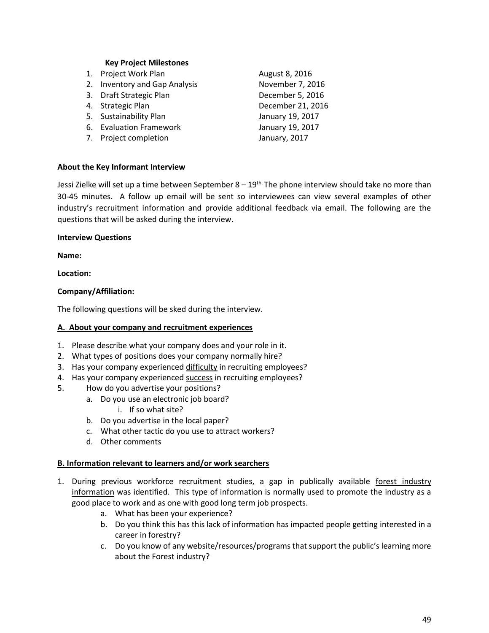#### **Key Project Milestones**

1. Project Work Plan August 8, 2016 2. Inventory and Gap Analysis November 7, 2016 3. Draft Strategic Plan December 5, 2016 4. Strategic Plan December 21, 2016 5. Sustainability Plan January 19, 2017 6. Evaluation Framework January 19, 2017 7. Project completion **January**, 2017

#### **About the Key Informant Interview**

Jessi Zielke will set up a time between September  $8 - 19<sup>th</sup>$ . The phone interview should take no more than 30-45 minutes. A follow up email will be sent so interviewees can view several examples of other industry's recruitment information and provide additional feedback via email. The following are the questions that will be asked during the interview.

#### **Interview Questions**

**Name:** 

#### **Location:**

#### **Company/Affiliation:**

The following questions will be sked during the interview.

#### **A. About your company and recruitment experiences**

- 1. Please describe what your company does and your role in it.
- 2. What types of positions does your company normally hire?
- 3. Has your company experienced difficulty in recruiting employees?
- 4. Has your company experienced success in recruiting employees?
- 5. How do you advertise your positions?
	- a. Do you use an electronic job board?
		- i. If so what site?
	- b. Do you advertise in the local paper?
	- c. What other tactic do you use to attract workers?
	- d. Other comments

#### **B. Information relevant to learners and/or work searchers**

- 1. During previous workforce recruitment studies, a gap in publically available forest industry information was identified. This type of information is normally used to promote the industry as a good place to work and as one with good long term job prospects.
	- a. What has been your experience?
	- b. Do you think this has this lack of information has impacted people getting interested in a career in forestry?
	- c. Do you know of any website/resources/programs that support the public's learning more about the Forest industry?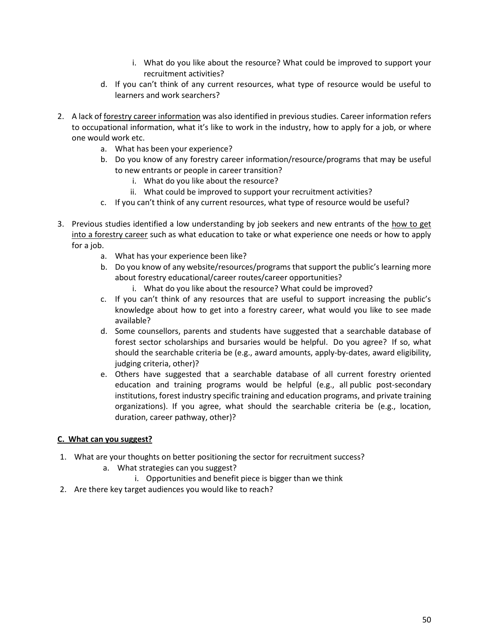- i. What do you like about the resource? What could be improved to support your recruitment activities?
- d. If you can't think of any current resources, what type of resource would be useful to learners and work searchers?
- 2. A lack of forestry career information was also identified in previous studies. Career information refers to occupational information, what it's like to work in the industry, how to apply for a job, or where one would work etc.
	- a. What has been your experience?
	- b. Do you know of any forestry career information/resource/programs that may be useful to new entrants or people in career transition?
		- i. What do you like about the resource?
		- ii. What could be improved to support your recruitment activities?
	- c. If you can't think of any current resources, what type of resource would be useful?
- 3. Previous studies identified a low understanding by job seekers and new entrants of the how to get into a forestry career such as what education to take or what experience one needs or how to apply for a job.
	- a. What has your experience been like?
	- b. Do you know of any website/resources/programs that support the public's learning more about forestry educational/career routes/career opportunities?
		- i. What do you like about the resource? What could be improved?
	- c. If you can't think of any resources that are useful to support increasing the public's knowledge about how to get into a forestry career, what would you like to see made available?
	- d. Some counsellors, parents and students have suggested that a searchable database of forest sector scholarships and bursaries would be helpful. Do you agree? If so, what should the searchable criteria be (e.g., award amounts, apply-by-dates, award eligibility, judging criteria, other)?
	- e. Others have suggested that a searchable database of all current forestry oriented education and training programs would be helpful (e.g., all public post-secondary institutions, forest industry specific training and education programs, and private training organizations). If you agree, what should the searchable criteria be (e.g., location, duration, career pathway, other)?

#### **C. What can you suggest?**

- 1. What are your thoughts on better positioning the sector for recruitment success?
	- a. What strategies can you suggest?
		- i. Opportunities and benefit piece is bigger than we think
- 2. Are there key target audiences you would like to reach?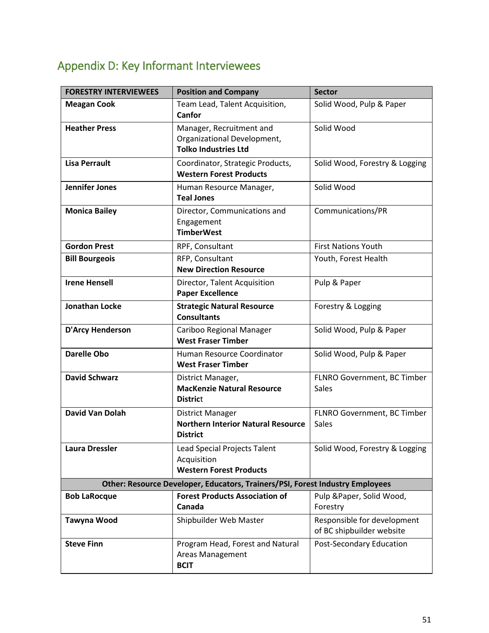#### **FORESTRY INTERVIEWEES** Position and Company Sector **Meagan Cook Team Lead, Talent Acquisition, Canfor**  Solid Wood, Pulp & Paper **Heather Press** Manager, Recruitment and Organizational Development, **Tolko Industries Ltd**  Solid Wood **Lisa Perrault Coordinator, Strategic Products, Western Forest Products**  Solid Wood, Forestry & Logging **Jennifer Jones** | Human Resource Manager, **Teal Jones**  Solid Wood **Monica Bailey**  Director, Communications and Engagement **TimberWest**  Communications/PR **Gordon Prest RPF, Consultant RPF, Consultant RPF**, **RPF, Consultant Bill Bourgeois** RFP, Consultant **New Direction Resource** Youth, Forest Health **Irene Hensell Director, Talent Acquisition Paper Excellence**  Pulp & Paper **Jonathan Locke Strategic Natural Resource Consultants**  Forestry & Logging **D'Arcy Henderson Cariboo Regional Manager West Fraser Timber**  Solid Wood, Pulp & Paper **Darelle Obo Human Resource Coordinator West Fraser Timber**  Solid Wood, Pulp & Paper **David Schwarz District Manager, MacKenzie Natural Resource Distric**t FLNRO Government, BC Timber Sales **David Van Dolah**  District Manager **Northern Interior Natural Resource District**  FLNRO Government, BC Timber **Sales Laura Dressler Lead Special Projects Talent** Acquisition **Western Forest Products**  Solid Wood, Forestry & Logging **Other: Resource Developer, Educators, Trainers/PSI, Forest Industry Employees Bob LaRocque Forest Products Association of Canada**  Pulp &Paper, Solid Wood, Forestry **Tawyna Wood** Shipbuilder Web Master Responsible for development of BC shipbuilder website **Steve Finn Program Head, Forest and Natural** Areas Management Post-Secondary Education

**BCIT** 

### <span id="page-51-0"></span>Appendix D: Key Informant Interviewees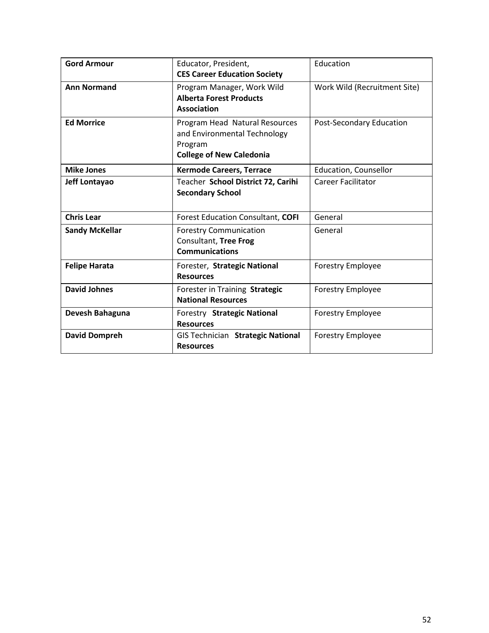| <b>Gord Armour</b>    | Educator, President,<br><b>CES Career Education Society</b>                                                  | Education                    |
|-----------------------|--------------------------------------------------------------------------------------------------------------|------------------------------|
| <b>Ann Normand</b>    | Program Manager, Work Wild<br><b>Alberta Forest Products</b><br><b>Association</b>                           | Work Wild (Recruitment Site) |
| <b>Ed Morrice</b>     | Program Head Natural Resources<br>and Environmental Technology<br>Program<br><b>College of New Caledonia</b> | Post-Secondary Education     |
| <b>Mike Jones</b>     | <b>Kermode Careers, Terrace</b>                                                                              | Education, Counsellor        |
| Jeff Lontayao         | Teacher School District 72, Carihi<br><b>Secondary School</b>                                                | <b>Career Facilitator</b>    |
| <b>Chris Lear</b>     | <b>Forest Education Consultant, COFI</b>                                                                     | General                      |
| <b>Sandy McKellar</b> | <b>Forestry Communication</b><br>Consultant, Tree Frog<br><b>Communications</b>                              | General                      |
| <b>Felipe Harata</b>  | Forester, Strategic National<br><b>Resources</b>                                                             | <b>Forestry Employee</b>     |
| <b>David Johnes</b>   | Forester in Training Strategic<br><b>National Resources</b>                                                  | <b>Forestry Employee</b>     |
| Devesh Bahaguna       | Forestry Strategic National<br><b>Resources</b>                                                              | <b>Forestry Employee</b>     |
| <b>David Dompreh</b>  | <b>GIS Technician Strategic National</b><br><b>Resources</b>                                                 | Forestry Employee            |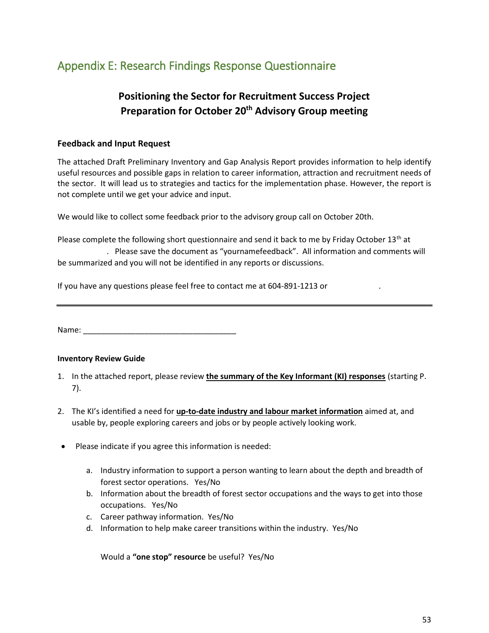### <span id="page-53-0"></span>Appendix E: Research Findings Response Questionnaire

### **Positioning the Sector for Recruitment Success Project Preparation for October 20th Advisory Group meeting**

#### **Feedback and Input Request**

The attached Draft Preliminary Inventory and Gap Analysis Report provides information to help identify useful resources and possible gaps in relation to career information, attraction and recruitment needs of the sector. It will lead us to strategies and tactics for the implementation phase. However, the report is not complete until we get your advice and input.

We would like to collect some feedback prior to the advisory group call on October 20th.

Please complete the following short questionnaire and send it back to me by Friday October 13<sup>th</sup> at **[mauch@cofi.org](mailto:mauch@cofi.org)**. Please save the document as "yournamefeedback". All information and comments will be summarized and you will not be identified in any reports or discussions.

If you have any questions please feel free to contact me at 604-891-1213 or

Name: \_\_\_\_\_\_\_\_\_\_\_\_\_\_\_\_\_\_\_\_\_\_\_\_\_\_\_\_\_\_\_\_\_\_\_

#### **Inventory Review Guide**

- 1. In the attached report, please review **the summary of the Key Informant (KI) responses** (starting P. 7).
- 2. The KI's identified a need for **up-to-date industry and labour market information** aimed at, and usable by, people exploring careers and jobs or by people actively looking work.
- Please indicate if you agree this information is needed:
	- a. Industry information to support a person wanting to learn about the depth and breadth of forest sector operations. Yes/No
	- b. Information about the breadth of forest sector occupations and the ways to get into those occupations. Yes/No
	- c. Career pathway information. Yes/No
	- d. Information to help make career transitions within the industry. Yes/No

Would a **"one stop" resource** be useful? Yes/No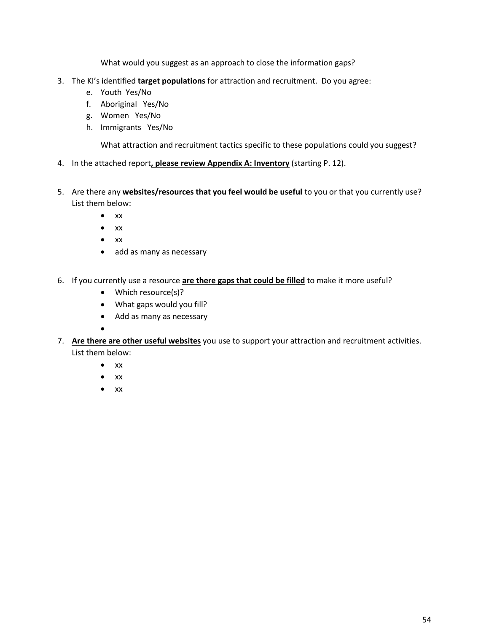What would you suggest as an approach to close the information gaps?

- 3. The KI's identified **target populations** for attraction and recruitment. Do you agree:
	- e. Youth Yes/No
	- f. Aboriginal Yes/No
	- g. Women Yes/No
	- h. Immigrants Yes/No

What attraction and recruitment tactics specific to these populations could you suggest?

- 4. In the attached report**, please review Appendix A: Inventory** (starting P. 12).
- 5. Are there any **websites/resources that you feel would be useful** to you or that you currently use? List them below:
	- $\bullet$  xx
	- $\bullet$  xx
	- $\bullet$  xx
	- add as many as necessary
- 6. If you currently use a resource **are there gaps that could be filled** to make it more useful?
	- Which resource(s)?
	- What gaps would you fill?
	- Add as many as necessary
	- $\bullet$
- 7. **Are there are other useful websites** you use to support your attraction and recruitment activities. List them below:
	- $\bullet$  xx
	- $\bullet$  xx
	- $\bullet$  xx